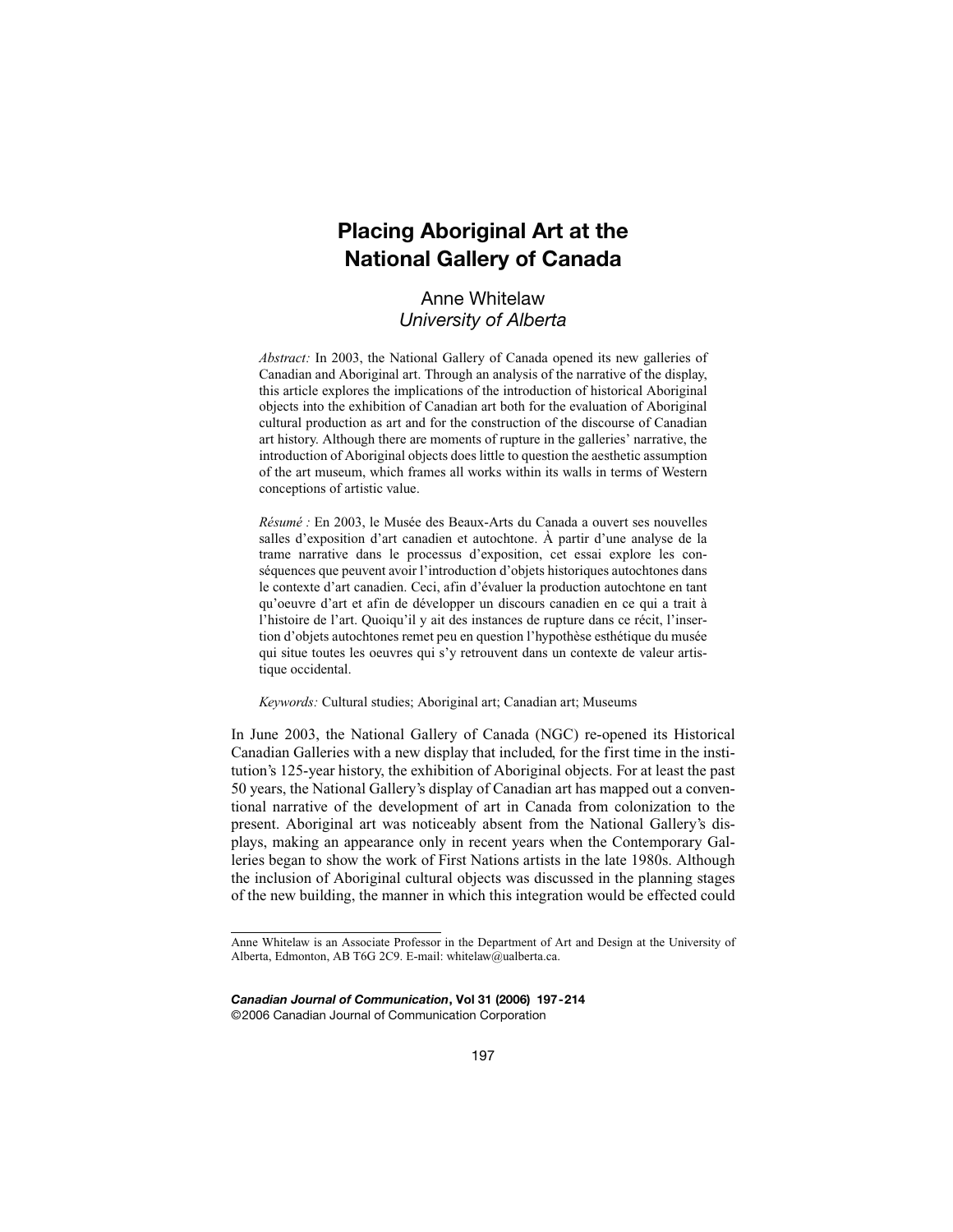# **Placing Aboriginal Art at the National Gallery of Canada**

# Anne Whitelaw *University of Alberta*

*Abstract:* In 2003, the National Gallery of Canada opened its new galleries of Canadian and Aboriginal art. Through an analysis of the narrative of the display, this article explores the implications of the introduction of historical Aboriginal objects into the exhibition of Canadian art both for the evaluation of Aboriginal cultural production as art and for the construction of the discourse of Canadian art history. Although there are moments of rupture in the galleries' narrative, the introduction of Aboriginal objects does little to question the aesthetic assumption of the art museum, which frames all works within its walls in terms of Western conceptions of artistic value.

*Résumé :* En 2003, le Musée des Beaux-Arts du Canada a ouvert ses nouvelles salles d'exposition d'art canadien et autochtone. À partir d'une analyse de la trame narrative dans le processus d'exposition, cet essai explore les conséquences que peuvent avoir l'introduction d'objets historiques autochtones dans le contexte d'art canadien. Ceci, afin d'évaluer la production autochtone en tant qu'oeuvre d'art et afin de développer un discours canadien en ce qui a trait à l'histoire de l'art. Quoiqu'il y ait des instances de rupture dans ce récit, l'insertion d'objets autochtones remet peu en question l'hypothèse esthétique du musée qui situe toutes les oeuvres qui s'y retrouvent dans un contexte de valeur artistique occidental.

*Keywords:* Cultural studies; Aboriginal art; Canadian art; Museums

In June 2003, the National Gallery of Canada (NGC) re-opened its Historical Canadian Galleries with a new display that included, for the first time in the institution's 125-year history, the exhibition of Aboriginal objects. For at least the past 50 years, the National Gallery's display of Canadian art has mapped out a conventional narrative of the development of art in Canada from colonization to the present. Aboriginal art was noticeably absent from the National Gallery's displays, making an appearance only in recent years when the Contemporary Galleries began to show the work of First Nations artists in the late 1980s. Although the inclusion of Aboriginal cultural objects was discussed in the planning stages of the new building, the manner in which this integration would be effected could

*Canadian Journal of Communication***, Vol 31 (2006) 197-214** ©2006 Canadian Journal of Communication Corporation

Anne Whitelaw is an Associate Professor in the Department of Art and Design at the University of Alberta, Edmonton, AB T6G 2C9. E-mail: whitelaw@ualberta.ca.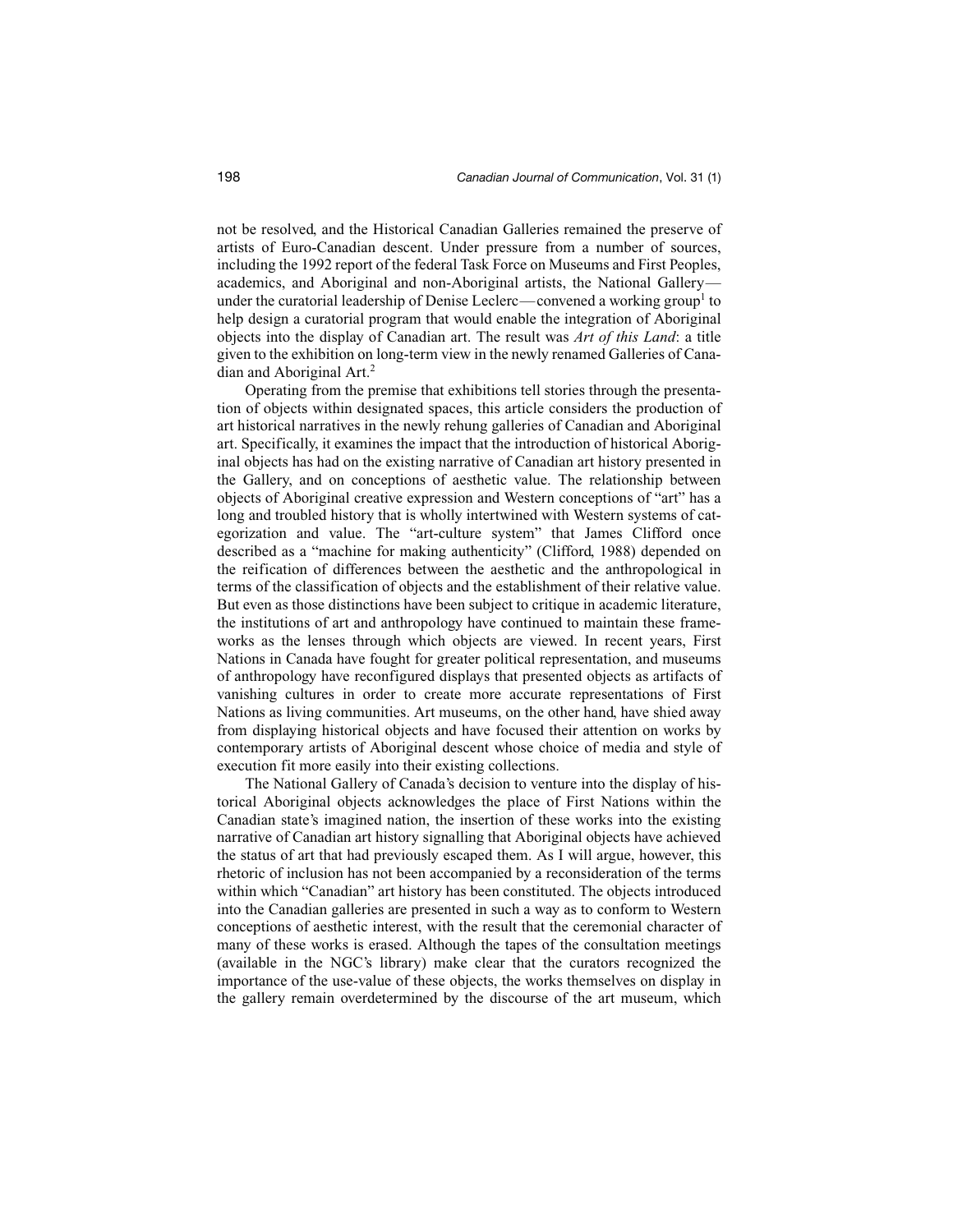not be resolved, and the Historical Canadian Galleries remained the preserve of artists of Euro-Canadian descent. Under pressure from a number of sources, including the 1992 report of the federal Task Force on Museums and First Peoples, academics, and Aboriginal and non-Aboriginal artists, the National Gallery under the curatorial leadership of Denise Leclerc—convened a working group<sup>1</sup> to help design a curatorial program that would enable the integration of Aboriginal objects into the display of Canadian art. The result was *Art of this Land*: a title given to the exhibition on long-term view in the newly renamed Galleries of Canadian and Aboriginal Art.2

Operating from the premise that exhibitions tell stories through the presentation of objects within designated spaces, this article considers the production of art historical narratives in the newly rehung galleries of Canadian and Aboriginal art. Specifically, it examines the impact that the introduction of historical Aboriginal objects has had on the existing narrative of Canadian art history presented in the Gallery, and on conceptions of aesthetic value. The relationship between objects of Aboriginal creative expression and Western conceptions of "art" has a long and troubled history that is wholly intertwined with Western systems of categorization and value. The "art-culture system" that James Clifford once described as a "machine for making authenticity" (Clifford, 1988) depended on the reification of differences between the aesthetic and the anthropological in terms of the classification of objects and the establishment of their relative value. But even as those distinctions have been subject to critique in academic literature, the institutions of art and anthropology have continued to maintain these frameworks as the lenses through which objects are viewed. In recent years, First Nations in Canada have fought for greater political representation, and museums of anthropology have reconfigured displays that presented objects as artifacts of vanishing cultures in order to create more accurate representations of First Nations as living communities. Art museums, on the other hand, have shied away from displaying historical objects and have focused their attention on works by contemporary artists of Aboriginal descent whose choice of media and style of execution fit more easily into their existing collections.

The National Gallery of Canada's decision to venture into the display of historical Aboriginal objects acknowledges the place of First Nations within the Canadian state's imagined nation, the insertion of these works into the existing narrative of Canadian art history signalling that Aboriginal objects have achieved the status of art that had previously escaped them. As I will argue, however, this rhetoric of inclusion has not been accompanied by a reconsideration of the terms within which "Canadian" art history has been constituted. The objects introduced into the Canadian galleries are presented in such a way as to conform to Western conceptions of aesthetic interest, with the result that the ceremonial character of many of these works is erased. Although the tapes of the consultation meetings (available in the NGC's library) make clear that the curators recognized the importance of the use-value of these objects, the works themselves on display in the gallery remain overdetermined by the discourse of the art museum, which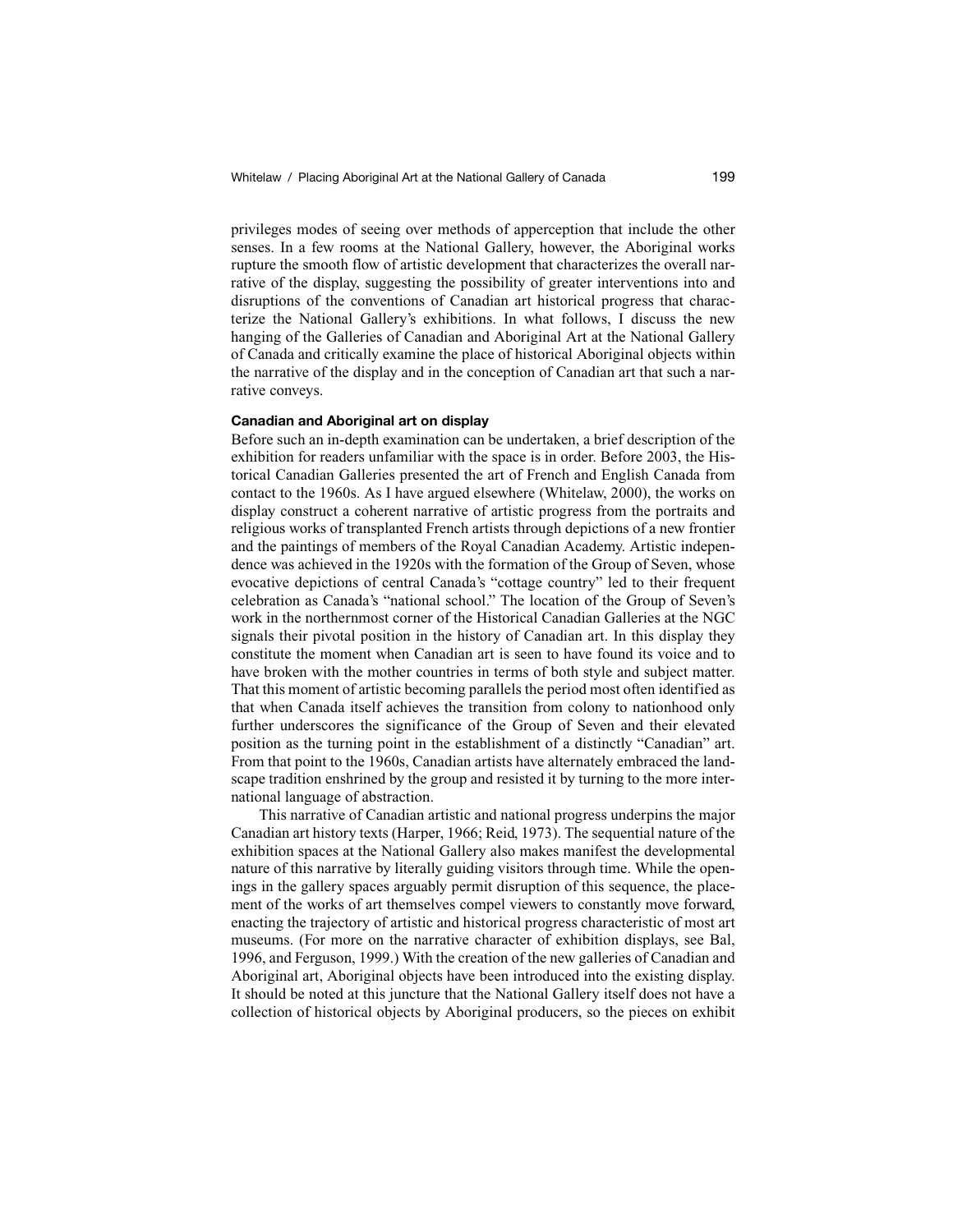privileges modes of seeing over methods of apperception that include the other senses. In a few rooms at the National Gallery, however, the Aboriginal works rupture the smooth flow of artistic development that characterizes the overall narrative of the display, suggesting the possibility of greater interventions into and disruptions of the conventions of Canadian art historical progress that characterize the National Gallery's exhibitions. In what follows, I discuss the new hanging of the Galleries of Canadian and Aboriginal Art at the National Gallery of Canada and critically examine the place of historical Aboriginal objects within the narrative of the display and in the conception of Canadian art that such a narrative conveys.

# **Canadian and Aboriginal art on display**

Before such an in-depth examination can be undertaken, a brief description of the exhibition for readers unfamiliar with the space is in order. Before 2003, the Historical Canadian Galleries presented the art of French and English Canada from contact to the 1960s. As I have argued elsewhere (Whitelaw, 2000), the works on display construct a coherent narrative of artistic progress from the portraits and religious works of transplanted French artists through depictions of a new frontier and the paintings of members of the Royal Canadian Academy. Artistic independence was achieved in the 1920s with the formation of the Group of Seven, whose evocative depictions of central Canada's "cottage country" led to their frequent celebration as Canada's "national school." The location of the Group of Seven's work in the northernmost corner of the Historical Canadian Galleries at the NGC signals their pivotal position in the history of Canadian art. In this display they constitute the moment when Canadian art is seen to have found its voice and to have broken with the mother countries in terms of both style and subject matter. That this moment of artistic becoming parallels the period most often identified as that when Canada itself achieves the transition from colony to nationhood only further underscores the significance of the Group of Seven and their elevated position as the turning point in the establishment of a distinctly "Canadian" art. From that point to the 1960s, Canadian artists have alternately embraced the landscape tradition enshrined by the group and resisted it by turning to the more international language of abstraction.

This narrative of Canadian artistic and national progress underpins the major Canadian art history texts (Harper, 1966; Reid, 1973). The sequential nature of the exhibition spaces at the National Gallery also makes manifest the developmental nature of this narrative by literally guiding visitors through time. While the openings in the gallery spaces arguably permit disruption of this sequence, the placement of the works of art themselves compel viewers to constantly move forward, enacting the trajectory of artistic and historical progress characteristic of most art museums. (For more on the narrative character of exhibition displays, see Bal, 1996, and Ferguson, 1999.) With the creation of the new galleries of Canadian and Aboriginal art, Aboriginal objects have been introduced into the existing display. It should be noted at this juncture that the National Gallery itself does not have a collection of historical objects by Aboriginal producers, so the pieces on exhibit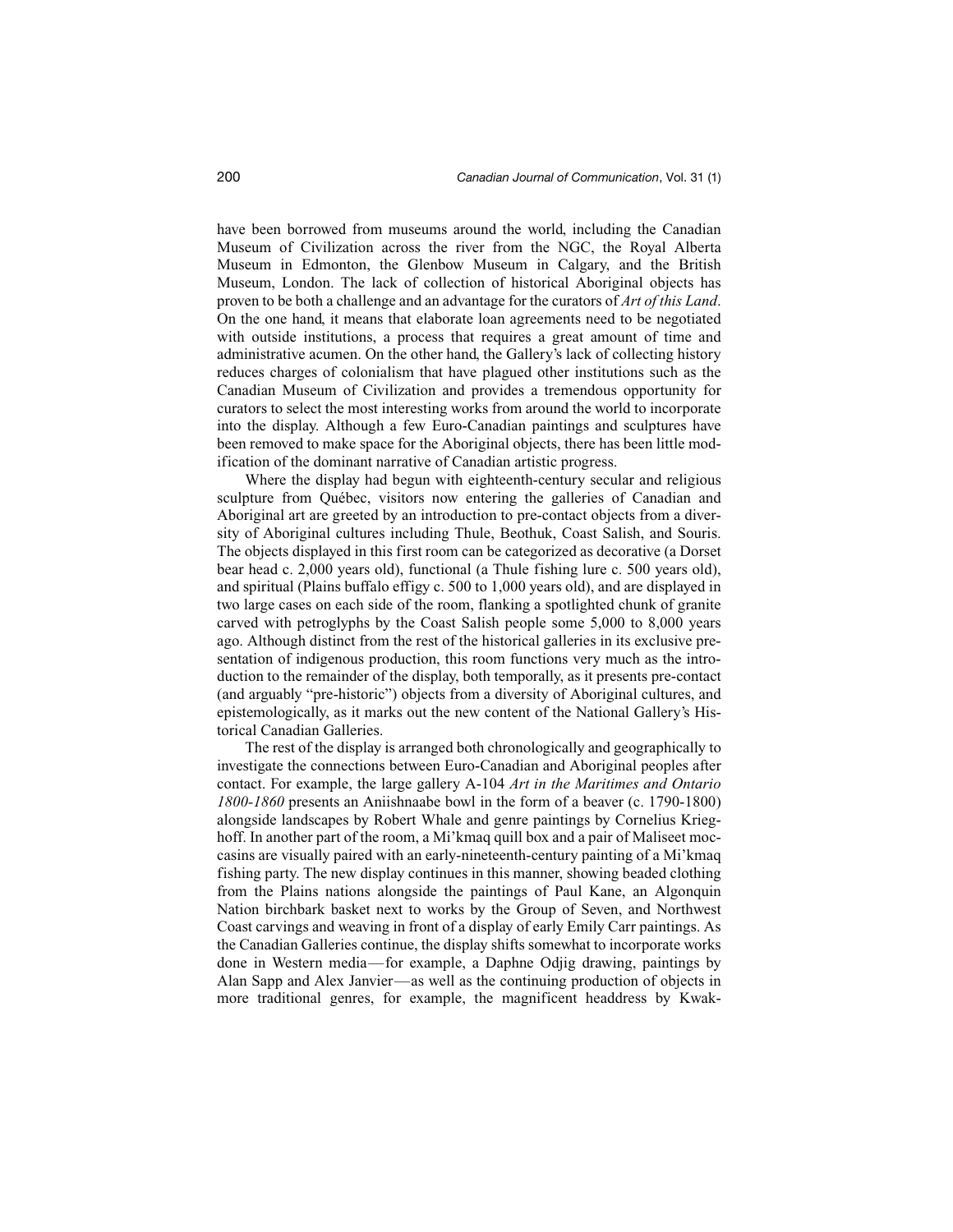have been borrowed from museums around the world, including the Canadian Museum of Civilization across the river from the NGC, the Royal Alberta Museum in Edmonton, the Glenbow Museum in Calgary, and the British Museum, London. The lack of collection of historical Aboriginal objects has proven to be both a challenge and an advantage for the curators of *Art of this Land*. On the one hand, it means that elaborate loan agreements need to be negotiated with outside institutions, a process that requires a great amount of time and administrative acumen. On the other hand, the Gallery's lack of collecting history reduces charges of colonialism that have plagued other institutions such as the Canadian Museum of Civilization and provides a tremendous opportunity for curators to select the most interesting works from around the world to incorporate into the display. Although a few Euro-Canadian paintings and sculptures have been removed to make space for the Aboriginal objects, there has been little modification of the dominant narrative of Canadian artistic progress.

Where the display had begun with eighteenth-century secular and religious sculpture from Québec, visitors now entering the galleries of Canadian and Aboriginal art are greeted by an introduction to pre-contact objects from a diversity of Aboriginal cultures including Thule, Beothuk, Coast Salish, and Souris. The objects displayed in this first room can be categorized as decorative (a Dorset bear head c. 2,000 years old), functional (a Thule fishing lure c. 500 years old), and spiritual (Plains buffalo effigy c. 500 to 1,000 years old), and are displayed in two large cases on each side of the room, flanking a spotlighted chunk of granite carved with petroglyphs by the Coast Salish people some 5,000 to 8,000 years ago. Although distinct from the rest of the historical galleries in its exclusive presentation of indigenous production, this room functions very much as the introduction to the remainder of the display, both temporally, as it presents pre-contact (and arguably "pre-historic") objects from a diversity of Aboriginal cultures, and epistemologically, as it marks out the new content of the National Gallery's Historical Canadian Galleries.

The rest of the display is arranged both chronologically and geographically to investigate the connections between Euro-Canadian and Aboriginal peoples after contact. For example, the large gallery A-104 *Art in the Maritimes and Ontario 1800-1860* presents an Aniishnaabe bowl in the form of a beaver (c. 1790-1800) alongside landscapes by Robert Whale and genre paintings by Cornelius Krieghoff. In another part of the room, a Mi'kmaq quill box and a pair of Maliseet moccasins are visually paired with an early-nineteenth-century painting of a Mi'kmaq fishing party. The new display continues in this manner, showing beaded clothing from the Plains nations alongside the paintings of Paul Kane, an Algonquin Nation birchbark basket next to works by the Group of Seven, and Northwest Coast carvings and weaving in front of a display of early Emily Carr paintings. As the Canadian Galleries continue, the display shifts somewhat to incorporate works done in Western media—for example, a Daphne Odjig drawing, paintings by Alan Sapp and Alex Janvier—as well as the continuing production of objects in more traditional genres, for example, the magnificent headdress by Kwak-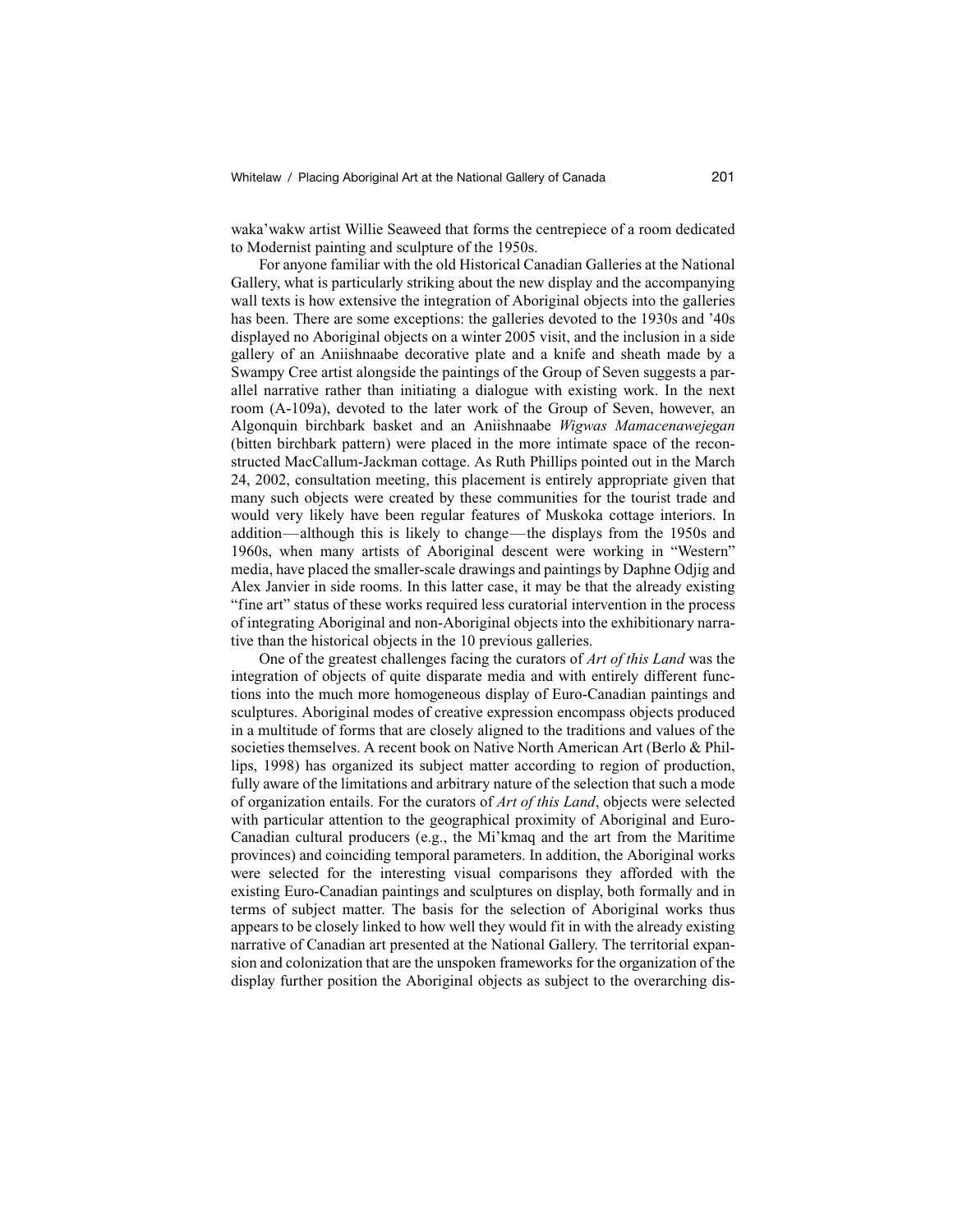waka'wakw artist Willie Seaweed that forms the centrepiece of a room dedicated to Modernist painting and sculpture of the 1950s.

For anyone familiar with the old Historical Canadian Galleries at the National Gallery, what is particularly striking about the new display and the accompanying wall texts is how extensive the integration of Aboriginal objects into the galleries has been. There are some exceptions: the galleries devoted to the 1930s and '40s displayed no Aboriginal objects on a winter 2005 visit, and the inclusion in a side gallery of an Aniishnaabe decorative plate and a knife and sheath made by a Swampy Cree artist alongside the paintings of the Group of Seven suggests a parallel narrative rather than initiating a dialogue with existing work. In the next room (A-109a), devoted to the later work of the Group of Seven, however, an Algonquin birchbark basket and an Aniishnaabe *Wigwas Mamacenawejegan* (bitten birchbark pattern) were placed in the more intimate space of the reconstructed MacCallum-Jackman cottage. As Ruth Phillips pointed out in the March 24, 2002, consultation meeting, this placement is entirely appropriate given that many such objects were created by these communities for the tourist trade and would very likely have been regular features of Muskoka cottage interiors. In addition—although this is likely to change—the displays from the 1950s and 1960s, when many artists of Aboriginal descent were working in "Western" media, have placed the smaller-scale drawings and paintings by Daphne Odjig and Alex Janvier in side rooms. In this latter case, it may be that the already existing "fine art" status of these works required less curatorial intervention in the process of integrating Aboriginal and non-Aboriginal objects into the exhibitionary narrative than the historical objects in the 10 previous galleries.

One of the greatest challenges facing the curators of *Art of this Land* was the integration of objects of quite disparate media and with entirely different functions into the much more homogeneous display of Euro-Canadian paintings and sculptures. Aboriginal modes of creative expression encompass objects produced in a multitude of forms that are closely aligned to the traditions and values of the societies themselves. A recent book on Native North American Art (Berlo & Phillips, 1998) has organized its subject matter according to region of production, fully aware of the limitations and arbitrary nature of the selection that such a mode of organization entails. For the curators of *Art of this Land*, objects were selected with particular attention to the geographical proximity of Aboriginal and Euro-Canadian cultural producers (e.g., the Mi'kmaq and the art from the Maritime provinces) and coinciding temporal parameters. In addition, the Aboriginal works were selected for the interesting visual comparisons they afforded with the existing Euro-Canadian paintings and sculptures on display, both formally and in terms of subject matter. The basis for the selection of Aboriginal works thus appears to be closely linked to how well they would fit in with the already existing narrative of Canadian art presented at the National Gallery. The territorial expansion and colonization that are the unspoken frameworks for the organization of the display further position the Aboriginal objects as subject to the overarching dis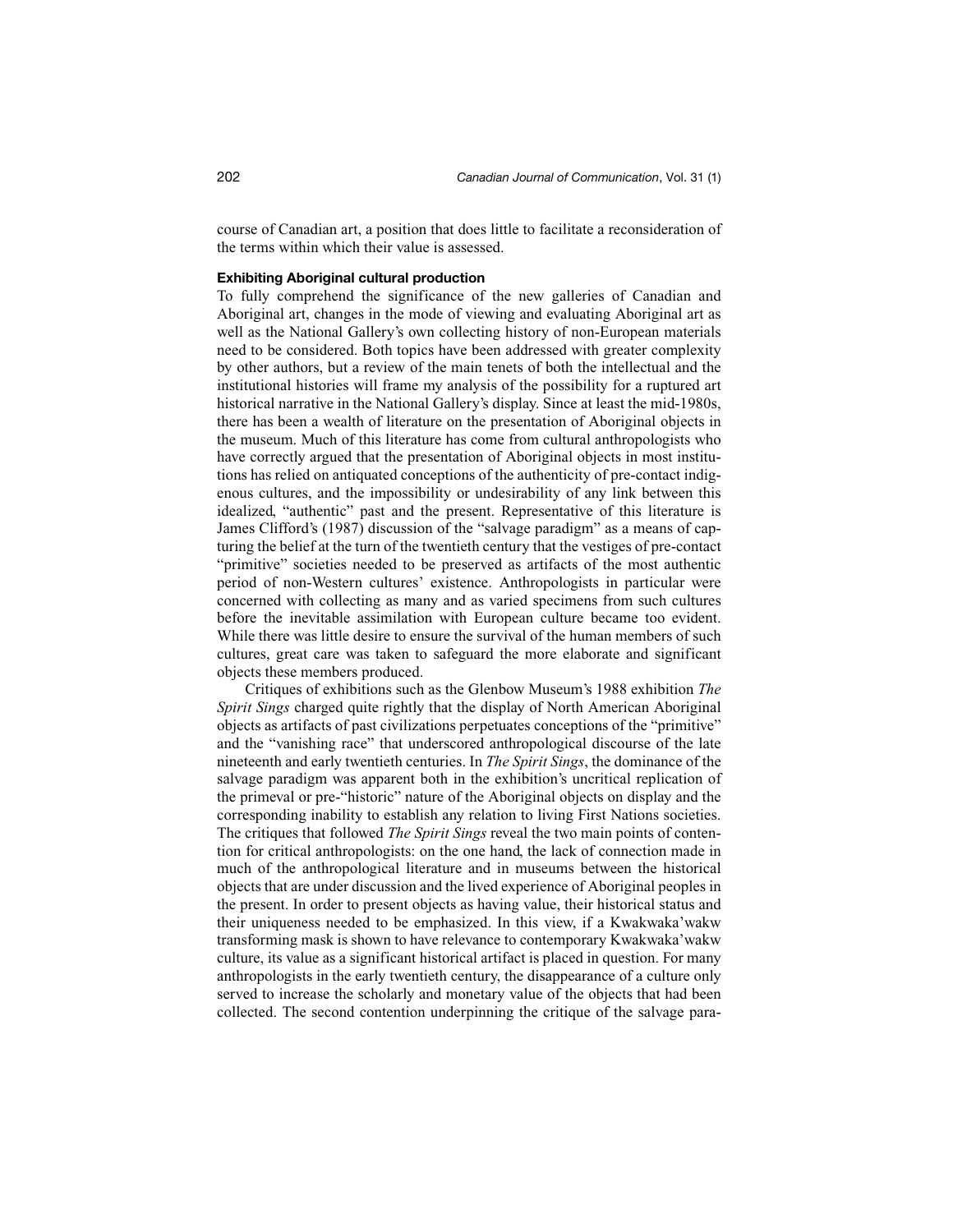course of Canadian art, a position that does little to facilitate a reconsideration of the terms within which their value is assessed.

#### **Exhibiting Aboriginal cultural production**

To fully comprehend the significance of the new galleries of Canadian and Aboriginal art, changes in the mode of viewing and evaluating Aboriginal art as well as the National Gallery's own collecting history of non-European materials need to be considered. Both topics have been addressed with greater complexity by other authors, but a review of the main tenets of both the intellectual and the institutional histories will frame my analysis of the possibility for a ruptured art historical narrative in the National Gallery's display. Since at least the mid-1980s, there has been a wealth of literature on the presentation of Aboriginal objects in the museum. Much of this literature has come from cultural anthropologists who have correctly argued that the presentation of Aboriginal objects in most institutions has relied on antiquated conceptions of the authenticity of pre-contact indigenous cultures, and the impossibility or undesirability of any link between this idealized, "authentic" past and the present. Representative of this literature is James Clifford's (1987) discussion of the "salvage paradigm" as a means of capturing the belief at the turn of the twentieth century that the vestiges of pre-contact "primitive" societies needed to be preserved as artifacts of the most authentic period of non-Western cultures' existence. Anthropologists in particular were concerned with collecting as many and as varied specimens from such cultures before the inevitable assimilation with European culture became too evident. While there was little desire to ensure the survival of the human members of such cultures, great care was taken to safeguard the more elaborate and significant objects these members produced.

Critiques of exhibitions such as the Glenbow Museum's 1988 exhibition *The Spirit Sings* charged quite rightly that the display of North American Aboriginal objects as artifacts of past civilizations perpetuates conceptions of the "primitive" and the "vanishing race" that underscored anthropological discourse of the late nineteenth and early twentieth centuries. In *The Spirit Sings*, the dominance of the salvage paradigm was apparent both in the exhibition's uncritical replication of the primeval or pre-"historic" nature of the Aboriginal objects on display and the corresponding inability to establish any relation to living First Nations societies. The critiques that followed *The Spirit Sings* reveal the two main points of contention for critical anthropologists: on the one hand, the lack of connection made in much of the anthropological literature and in museums between the historical objects that are under discussion and the lived experience of Aboriginal peoples in the present. In order to present objects as having value, their historical status and their uniqueness needed to be emphasized. In this view, if a Kwakwaka'wakw transforming mask is shown to have relevance to contemporary Kwakwaka'wakw culture, its value as a significant historical artifact is placed in question. For many anthropologists in the early twentieth century, the disappearance of a culture only served to increase the scholarly and monetary value of the objects that had been collected. The second contention underpinning the critique of the salvage para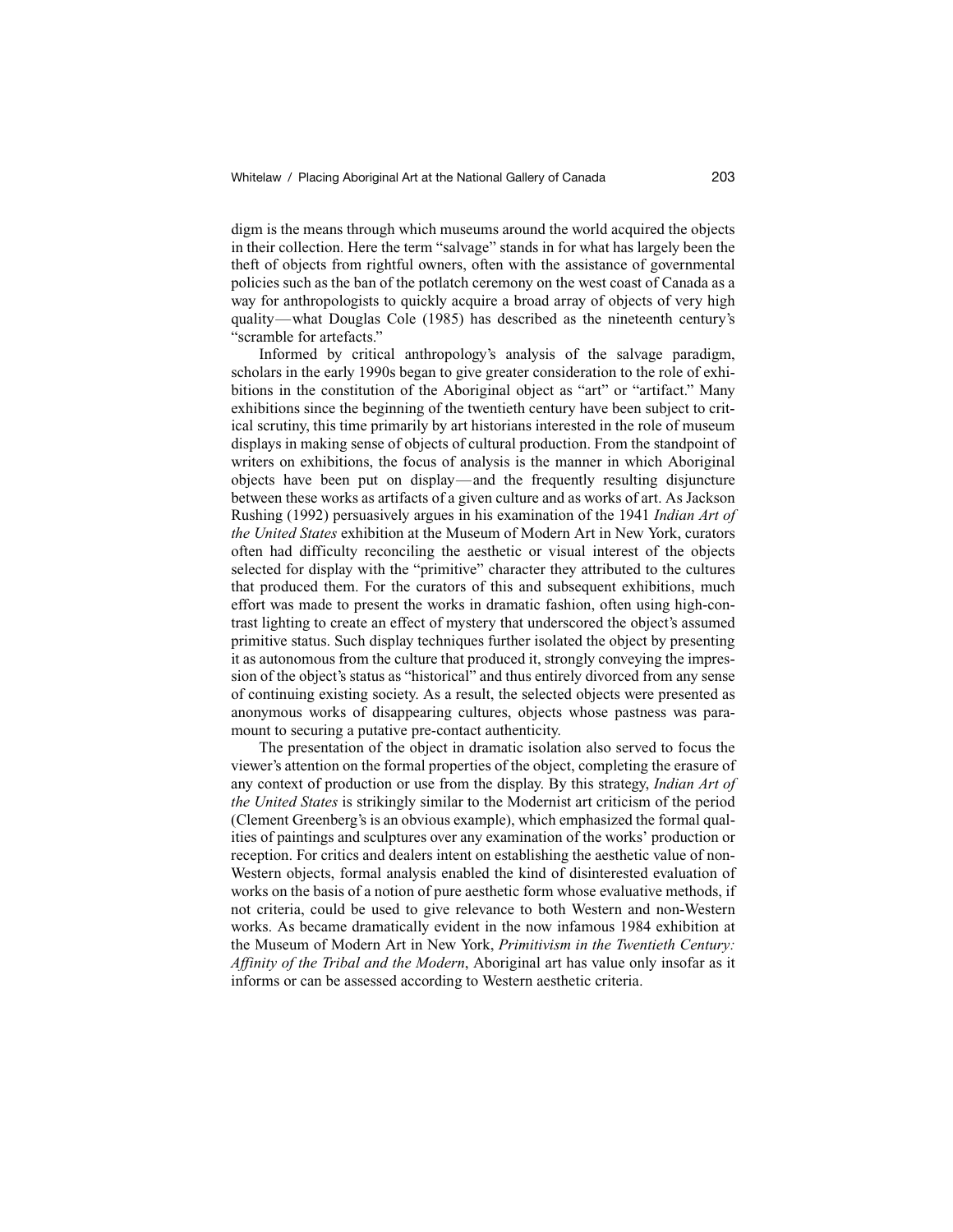digm is the means through which museums around the world acquired the objects in their collection. Here the term "salvage" stands in for what has largely been the theft of objects from rightful owners, often with the assistance of governmental policies such as the ban of the potlatch ceremony on the west coast of Canada as a way for anthropologists to quickly acquire a broad array of objects of very high quality—what Douglas Cole (1985) has described as the nineteenth century's "scramble for artefacts."

Informed by critical anthropology's analysis of the salvage paradigm, scholars in the early 1990s began to give greater consideration to the role of exhibitions in the constitution of the Aboriginal object as "art" or "artifact." Many exhibitions since the beginning of the twentieth century have been subject to critical scrutiny, this time primarily by art historians interested in the role of museum displays in making sense of objects of cultural production. From the standpoint of writers on exhibitions, the focus of analysis is the manner in which Aboriginal objects have been put on display—and the frequently resulting disjuncture between these works as artifacts of a given culture and as works of art. As Jackson Rushing (1992) persuasively argues in his examination of the 1941 *Indian Art of the United States* exhibition at the Museum of Modern Art in New York, curators often had difficulty reconciling the aesthetic or visual interest of the objects selected for display with the "primitive" character they attributed to the cultures that produced them. For the curators of this and subsequent exhibitions, much effort was made to present the works in dramatic fashion, often using high-contrast lighting to create an effect of mystery that underscored the object's assumed primitive status. Such display techniques further isolated the object by presenting it as autonomous from the culture that produced it, strongly conveying the impression of the object's status as "historical" and thus entirely divorced from any sense of continuing existing society. As a result, the selected objects were presented as anonymous works of disappearing cultures, objects whose pastness was paramount to securing a putative pre-contact authenticity.

The presentation of the object in dramatic isolation also served to focus the viewer's attention on the formal properties of the object, completing the erasure of any context of production or use from the display. By this strategy, *Indian Art of the United States* is strikingly similar to the Modernist art criticism of the period (Clement Greenberg's is an obvious example), which emphasized the formal qualities of paintings and sculptures over any examination of the works' production or reception. For critics and dealers intent on establishing the aesthetic value of non-Western objects, formal analysis enabled the kind of disinterested evaluation of works on the basis of a notion of pure aesthetic form whose evaluative methods, if not criteria, could be used to give relevance to both Western and non-Western works. As became dramatically evident in the now infamous 1984 exhibition at the Museum of Modern Art in New York, *Primitivism in the Twentieth Century: Affinity of the Tribal and the Modern*, Aboriginal art has value only insofar as it informs or can be assessed according to Western aesthetic criteria.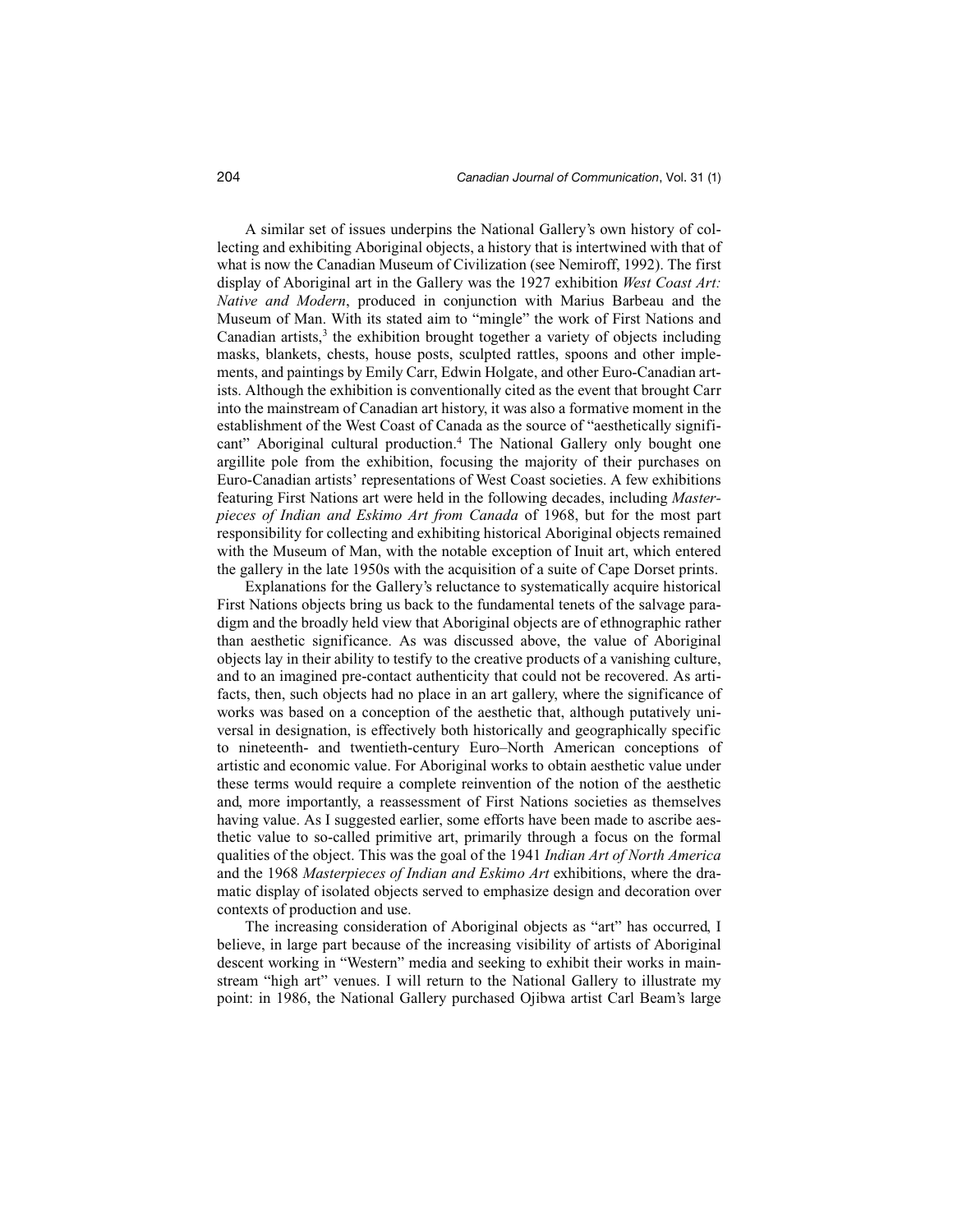A similar set of issues underpins the National Gallery's own history of collecting and exhibiting Aboriginal objects, a history that is intertwined with that of what is now the Canadian Museum of Civilization (see Nemiroff, 1992). The first display of Aboriginal art in the Gallery was the 1927 exhibition *West Coast Art: Native and Modern*, produced in conjunction with Marius Barbeau and the Museum of Man. With its stated aim to "mingle" the work of First Nations and Canadian artists, $3$  the exhibition brought together a variety of objects including masks, blankets, chests, house posts, sculpted rattles, spoons and other implements, and paintings by Emily Carr, Edwin Holgate, and other Euro-Canadian artists. Although the exhibition is conventionally cited as the event that brought Carr into the mainstream of Canadian art history, it was also a formative moment in the establishment of the West Coast of Canada as the source of "aesthetically significant" Aboriginal cultural production.<sup>4</sup> The National Gallery only bought one argillite pole from the exhibition, focusing the majority of their purchases on Euro-Canadian artists' representations of West Coast societies. A few exhibitions featuring First Nations art were held in the following decades, including *Masterpieces of Indian and Eskimo Art from Canada* of 1968, but for the most part responsibility for collecting and exhibiting historical Aboriginal objects remained with the Museum of Man, with the notable exception of Inuit art, which entered the gallery in the late 1950s with the acquisition of a suite of Cape Dorset prints.

Explanations for the Gallery's reluctance to systematically acquire historical First Nations objects bring us back to the fundamental tenets of the salvage paradigm and the broadly held view that Aboriginal objects are of ethnographic rather than aesthetic significance. As was discussed above, the value of Aboriginal objects lay in their ability to testify to the creative products of a vanishing culture, and to an imagined pre-contact authenticity that could not be recovered. As artifacts, then, such objects had no place in an art gallery, where the significance of works was based on a conception of the aesthetic that, although putatively universal in designation, is effectively both historically and geographically specific to nineteenth- and twentieth-century Euro–North American conceptions of artistic and economic value. For Aboriginal works to obtain aesthetic value under these terms would require a complete reinvention of the notion of the aesthetic and, more importantly, a reassessment of First Nations societies as themselves having value. As I suggested earlier, some efforts have been made to ascribe aesthetic value to so-called primitive art, primarily through a focus on the formal qualities of the object. This was the goal of the 1941 *Indian Art of North America* and the 1968 *Masterpieces of Indian and Eskimo Art* exhibitions, where the dramatic display of isolated objects served to emphasize design and decoration over contexts of production and use.

The increasing consideration of Aboriginal objects as "art" has occurred, I believe, in large part because of the increasing visibility of artists of Aboriginal descent working in "Western" media and seeking to exhibit their works in mainstream "high art" venues. I will return to the National Gallery to illustrate my point: in 1986, the National Gallery purchased Ojibwa artist Carl Beam's large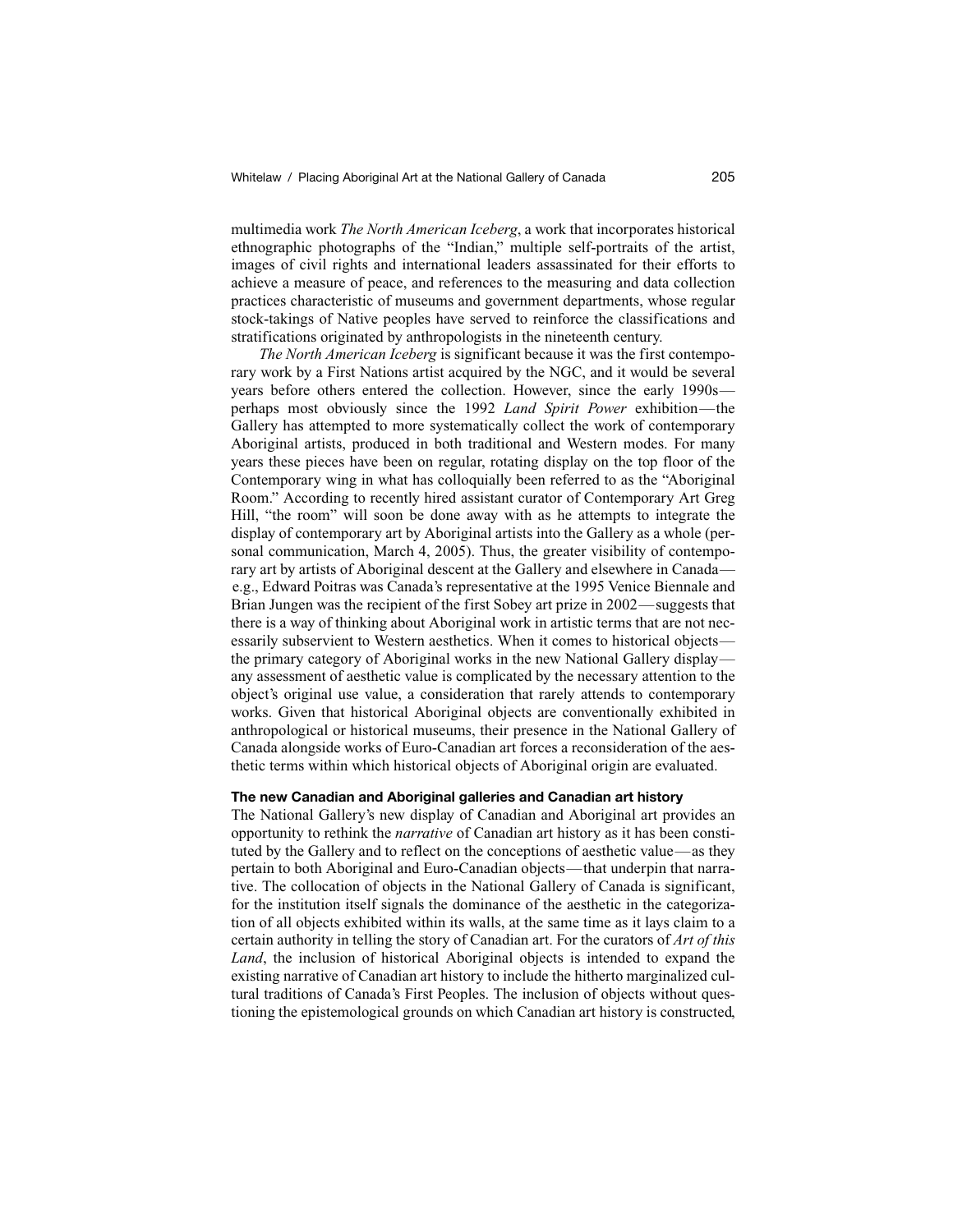multimedia work *The North American Iceberg*, a work that incorporates historical ethnographic photographs of the "Indian," multiple self-portraits of the artist, images of civil rights and international leaders assassinated for their efforts to achieve a measure of peace, and references to the measuring and data collection practices characteristic of museums and government departments, whose regular stock-takings of Native peoples have served to reinforce the classifications and stratifications originated by anthropologists in the nineteenth century.

*The North American Iceberg* is significant because it was the first contemporary work by a First Nations artist acquired by the NGC, and it would be several years before others entered the collection. However, since the early 1990s perhaps most obviously since the 1992 *Land Spirit Power* exhibition—the Gallery has attempted to more systematically collect the work of contemporary Aboriginal artists, produced in both traditional and Western modes. For many years these pieces have been on regular, rotating display on the top floor of the Contemporary wing in what has colloquially been referred to as the "Aboriginal Room." According to recently hired assistant curator of Contemporary Art Greg Hill, "the room" will soon be done away with as he attempts to integrate the display of contemporary art by Aboriginal artists into the Gallery as a whole (personal communication, March 4, 2005). Thus, the greater visibility of contemporary art by artists of Aboriginal descent at the Gallery and elsewhere in Canada e.g., Edward Poitras was Canada's representative at the 1995 Venice Biennale and Brian Jungen was the recipient of the first Sobey art prize in 2002—suggests that there is a way of thinking about Aboriginal work in artistic terms that are not necessarily subservient to Western aesthetics. When it comes to historical objects the primary category of Aboriginal works in the new National Gallery display any assessment of aesthetic value is complicated by the necessary attention to the object's original use value, a consideration that rarely attends to contemporary works. Given that historical Aboriginal objects are conventionally exhibited in anthropological or historical museums, their presence in the National Gallery of Canada alongside works of Euro-Canadian art forces a reconsideration of the aesthetic terms within which historical objects of Aboriginal origin are evaluated.

## **The new Canadian and Aboriginal galleries and Canadian art history**

The National Gallery's new display of Canadian and Aboriginal art provides an opportunity to rethink the *narrative* of Canadian art history as it has been constituted by the Gallery and to reflect on the conceptions of aesthetic value—as they pertain to both Aboriginal and Euro-Canadian objects—that underpin that narrative. The collocation of objects in the National Gallery of Canada is significant, for the institution itself signals the dominance of the aesthetic in the categorization of all objects exhibited within its walls, at the same time as it lays claim to a certain authority in telling the story of Canadian art. For the curators of *Art of this Land*, the inclusion of historical Aboriginal objects is intended to expand the existing narrative of Canadian art history to include the hitherto marginalized cultural traditions of Canada's First Peoples. The inclusion of objects without questioning the epistemological grounds on which Canadian art history is constructed,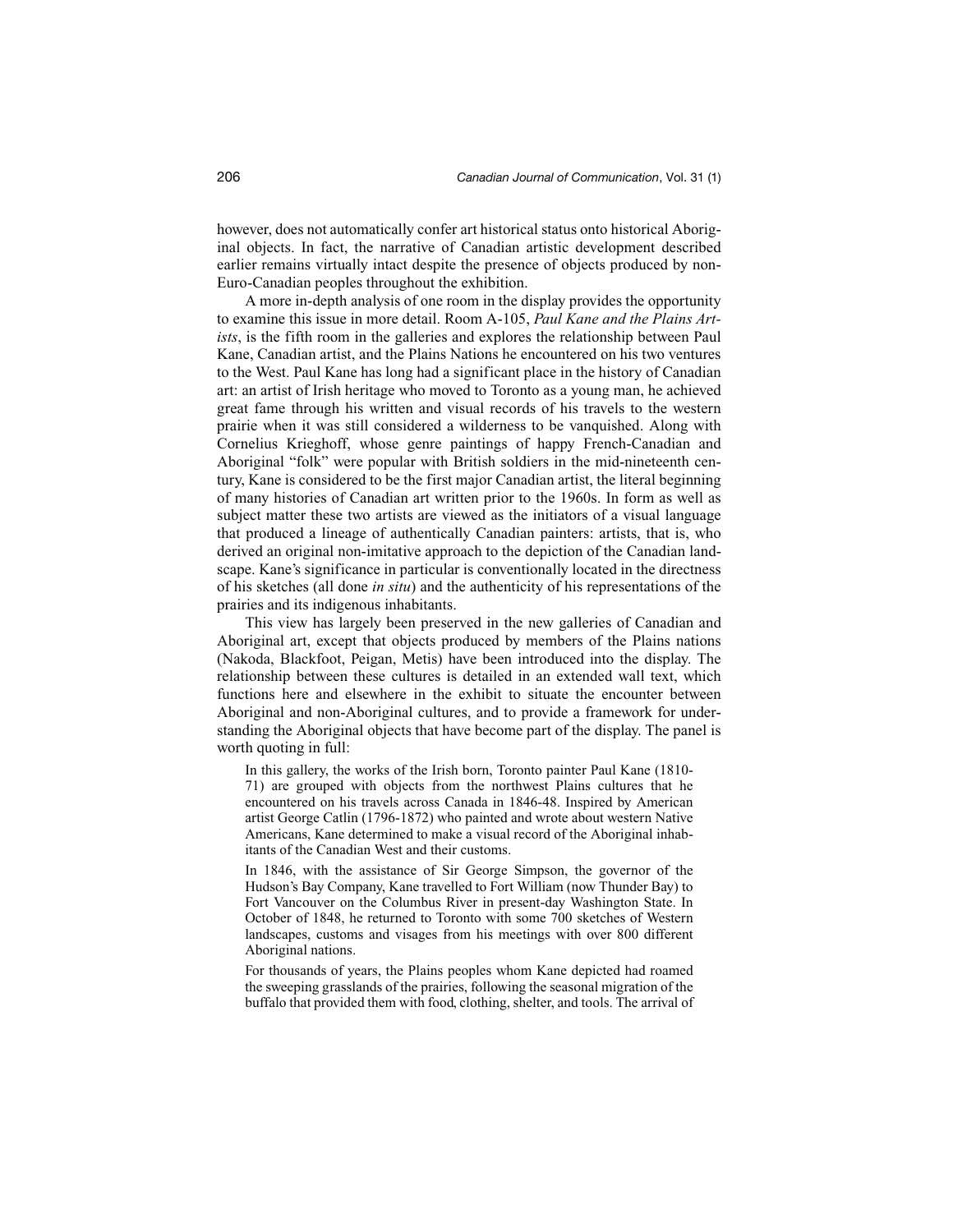however, does not automatically confer art historical status onto historical Aboriginal objects. In fact, the narrative of Canadian artistic development described earlier remains virtually intact despite the presence of objects produced by non-Euro-Canadian peoples throughout the exhibition.

A more in-depth analysis of one room in the display provides the opportunity to examine this issue in more detail. Room A-105, *Paul Kane and the Plains Artists*, is the fifth room in the galleries and explores the relationship between Paul Kane, Canadian artist, and the Plains Nations he encountered on his two ventures to the West. Paul Kane has long had a significant place in the history of Canadian art: an artist of Irish heritage who moved to Toronto as a young man, he achieved great fame through his written and visual records of his travels to the western prairie when it was still considered a wilderness to be vanquished. Along with Cornelius Krieghoff, whose genre paintings of happy French-Canadian and Aboriginal "folk" were popular with British soldiers in the mid-nineteenth century, Kane is considered to be the first major Canadian artist, the literal beginning of many histories of Canadian art written prior to the 1960s. In form as well as subject matter these two artists are viewed as the initiators of a visual language that produced a lineage of authentically Canadian painters: artists, that is, who derived an original non-imitative approach to the depiction of the Canadian landscape. Kane's significance in particular is conventionally located in the directness of his sketches (all done *in situ*) and the authenticity of his representations of the prairies and its indigenous inhabitants.

This view has largely been preserved in the new galleries of Canadian and Aboriginal art, except that objects produced by members of the Plains nations (Nakoda, Blackfoot, Peigan, Metis) have been introduced into the display. The relationship between these cultures is detailed in an extended wall text, which functions here and elsewhere in the exhibit to situate the encounter between Aboriginal and non-Aboriginal cultures, and to provide a framework for understanding the Aboriginal objects that have become part of the display. The panel is worth quoting in full:

In this gallery, the works of the Irish born, Toronto painter Paul Kane (1810- 71) are grouped with objects from the northwest Plains cultures that he encountered on his travels across Canada in 1846-48. Inspired by American artist George Catlin (1796-1872) who painted and wrote about western Native Americans, Kane determined to make a visual record of the Aboriginal inhabitants of the Canadian West and their customs.

In 1846, with the assistance of Sir George Simpson, the governor of the Hudson's Bay Company, Kane travelled to Fort William (now Thunder Bay) to Fort Vancouver on the Columbus River in present-day Washington State. In October of 1848, he returned to Toronto with some 700 sketches of Western landscapes, customs and visages from his meetings with over 800 different Aboriginal nations.

For thousands of years, the Plains peoples whom Kane depicted had roamed the sweeping grasslands of the prairies, following the seasonal migration of the buffalo that provided them with food, clothing, shelter, and tools. The arrival of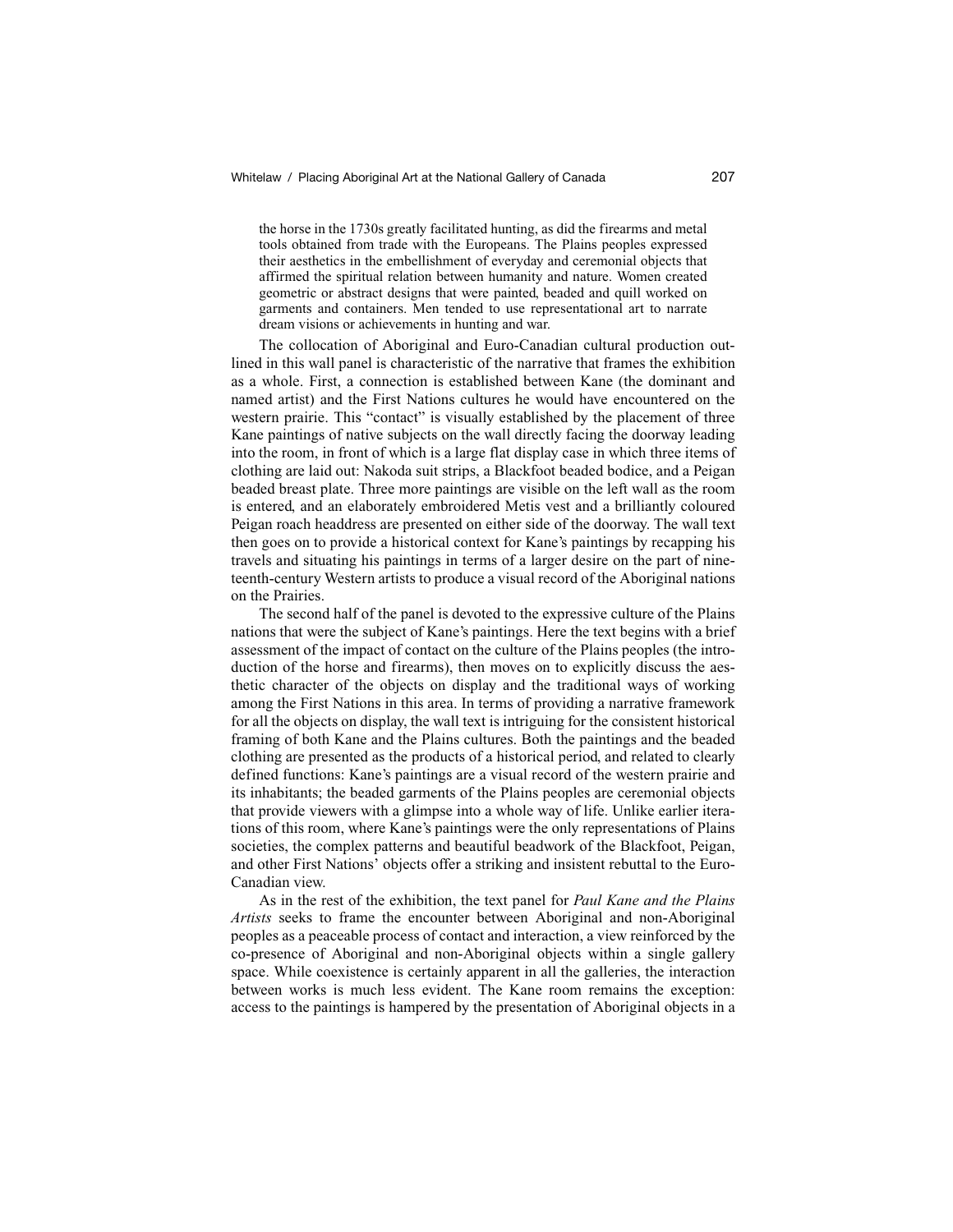the horse in the 1730s greatly facilitated hunting, as did the firearms and metal tools obtained from trade with the Europeans. The Plains peoples expressed their aesthetics in the embellishment of everyday and ceremonial objects that affirmed the spiritual relation between humanity and nature. Women created geometric or abstract designs that were painted, beaded and quill worked on garments and containers. Men tended to use representational art to narrate dream visions or achievements in hunting and war.

The collocation of Aboriginal and Euro-Canadian cultural production outlined in this wall panel is characteristic of the narrative that frames the exhibition as a whole. First, a connection is established between Kane (the dominant and named artist) and the First Nations cultures he would have encountered on the western prairie. This "contact" is visually established by the placement of three Kane paintings of native subjects on the wall directly facing the doorway leading into the room, in front of which is a large flat display case in which three items of clothing are laid out: Nakoda suit strips, a Blackfoot beaded bodice, and a Peigan beaded breast plate. Three more paintings are visible on the left wall as the room is entered, and an elaborately embroidered Metis vest and a brilliantly coloured Peigan roach headdress are presented on either side of the doorway. The wall text then goes on to provide a historical context for Kane's paintings by recapping his travels and situating his paintings in terms of a larger desire on the part of nineteenth-century Western artists to produce a visual record of the Aboriginal nations on the Prairies.

The second half of the panel is devoted to the expressive culture of the Plains nations that were the subject of Kane's paintings. Here the text begins with a brief assessment of the impact of contact on the culture of the Plains peoples (the introduction of the horse and firearms), then moves on to explicitly discuss the aesthetic character of the objects on display and the traditional ways of working among the First Nations in this area. In terms of providing a narrative framework for all the objects on display, the wall text is intriguing for the consistent historical framing of both Kane and the Plains cultures. Both the paintings and the beaded clothing are presented as the products of a historical period, and related to clearly defined functions: Kane's paintings are a visual record of the western prairie and its inhabitants; the beaded garments of the Plains peoples are ceremonial objects that provide viewers with a glimpse into a whole way of life. Unlike earlier iterations of this room, where Kane's paintings were the only representations of Plains societies, the complex patterns and beautiful beadwork of the Blackfoot, Peigan, and other First Nations' objects offer a striking and insistent rebuttal to the Euro-Canadian view.

As in the rest of the exhibition, the text panel for *Paul Kane and the Plains Artists* seeks to frame the encounter between Aboriginal and non-Aboriginal peoples as a peaceable process of contact and interaction, a view reinforced by the co-presence of Aboriginal and non-Aboriginal objects within a single gallery space. While coexistence is certainly apparent in all the galleries, the interaction between works is much less evident. The Kane room remains the exception: access to the paintings is hampered by the presentation of Aboriginal objects in a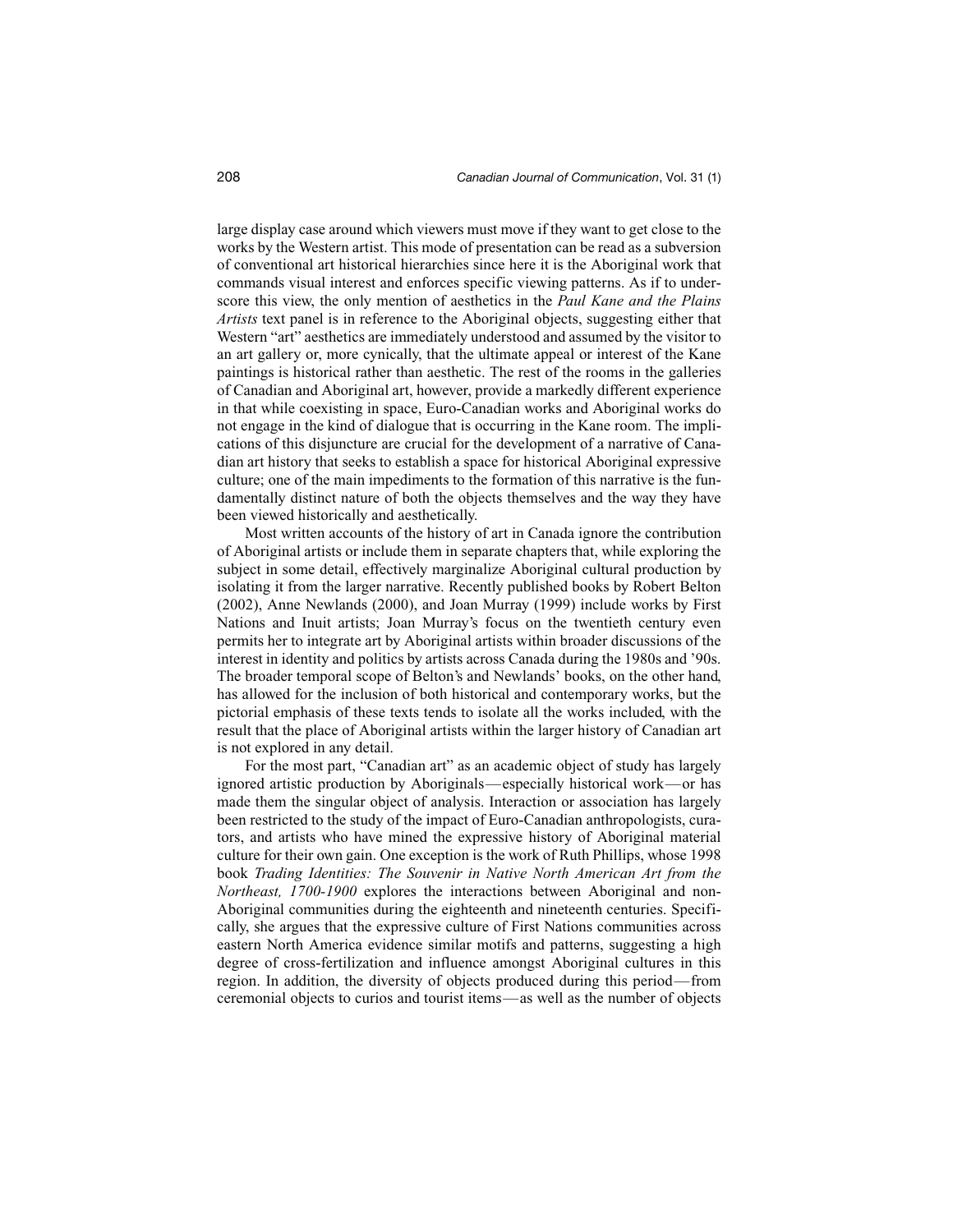large display case around which viewers must move if they want to get close to the works by the Western artist. This mode of presentation can be read as a subversion of conventional art historical hierarchies since here it is the Aboriginal work that commands visual interest and enforces specific viewing patterns. As if to underscore this view, the only mention of aesthetics in the *Paul Kane and the Plains Artists* text panel is in reference to the Aboriginal objects, suggesting either that Western "art" aesthetics are immediately understood and assumed by the visitor to an art gallery or, more cynically, that the ultimate appeal or interest of the Kane paintings is historical rather than aesthetic. The rest of the rooms in the galleries of Canadian and Aboriginal art, however, provide a markedly different experience in that while coexisting in space, Euro-Canadian works and Aboriginal works do not engage in the kind of dialogue that is occurring in the Kane room. The implications of this disjuncture are crucial for the development of a narrative of Canadian art history that seeks to establish a space for historical Aboriginal expressive culture; one of the main impediments to the formation of this narrative is the fundamentally distinct nature of both the objects themselves and the way they have been viewed historically and aesthetically.

Most written accounts of the history of art in Canada ignore the contribution of Aboriginal artists or include them in separate chapters that, while exploring the subject in some detail, effectively marginalize Aboriginal cultural production by isolating it from the larger narrative. Recently published books by Robert Belton (2002), Anne Newlands (2000), and Joan Murray (1999) include works by First Nations and Inuit artists; Joan Murray's focus on the twentieth century even permits her to integrate art by Aboriginal artists within broader discussions of the interest in identity and politics by artists across Canada during the 1980s and '90s. The broader temporal scope of Belton's and Newlands' books, on the other hand, has allowed for the inclusion of both historical and contemporary works, but the pictorial emphasis of these texts tends to isolate all the works included, with the result that the place of Aboriginal artists within the larger history of Canadian art is not explored in any detail.

For the most part, "Canadian art" as an academic object of study has largely ignored artistic production by Aboriginals—especially historical work—or has made them the singular object of analysis. Interaction or association has largely been restricted to the study of the impact of Euro-Canadian anthropologists, curators, and artists who have mined the expressive history of Aboriginal material culture for their own gain. One exception is the work of Ruth Phillips, whose 1998 book *Trading Identities: The Souvenir in Native North American Art from the Northeast, 1700-1900* explores the interactions between Aboriginal and non-Aboriginal communities during the eighteenth and nineteenth centuries. Specifically, she argues that the expressive culture of First Nations communities across eastern North America evidence similar motifs and patterns, suggesting a high degree of cross-fertilization and influence amongst Aboriginal cultures in this region. In addition, the diversity of objects produced during this period—from ceremonial objects to curios and tourist items—as well as the number of objects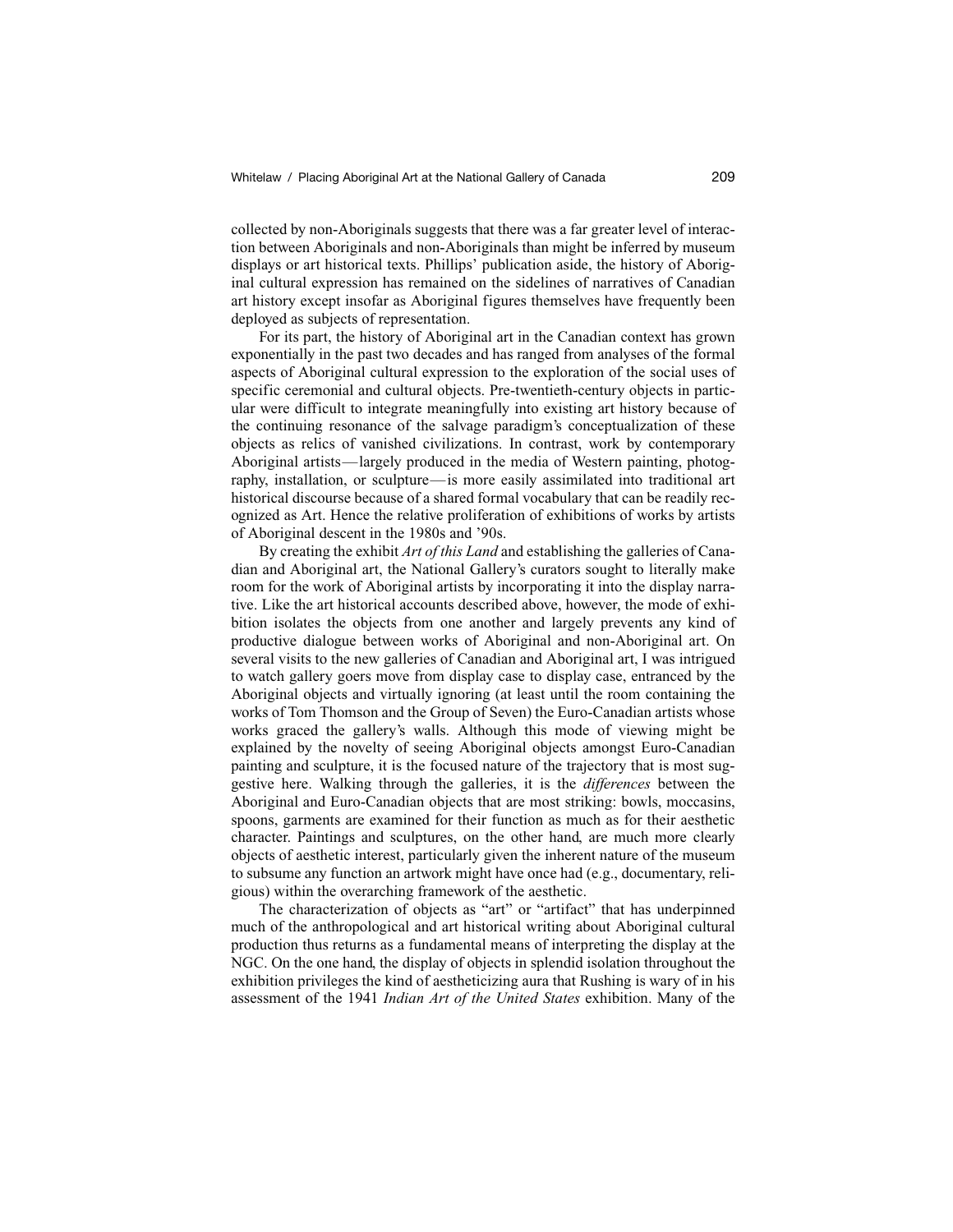collected by non-Aboriginals suggests that there was a far greater level of interaction between Aboriginals and non-Aboriginals than might be inferred by museum displays or art historical texts. Phillips' publication aside, the history of Aboriginal cultural expression has remained on the sidelines of narratives of Canadian art history except insofar as Aboriginal figures themselves have frequently been deployed as subjects of representation.

For its part, the history of Aboriginal art in the Canadian context has grown exponentially in the past two decades and has ranged from analyses of the formal aspects of Aboriginal cultural expression to the exploration of the social uses of specific ceremonial and cultural objects. Pre-twentieth-century objects in particular were difficult to integrate meaningfully into existing art history because of the continuing resonance of the salvage paradigm's conceptualization of these objects as relics of vanished civilizations. In contrast, work by contemporary Aboriginal artists—largely produced in the media of Western painting, photography, installation, or sculpture—is more easily assimilated into traditional art historical discourse because of a shared formal vocabulary that can be readily recognized as Art. Hence the relative proliferation of exhibitions of works by artists of Aboriginal descent in the 1980s and '90s.

By creating the exhibit *Art of this Land* and establishing the galleries of Canadian and Aboriginal art, the National Gallery's curators sought to literally make room for the work of Aboriginal artists by incorporating it into the display narrative. Like the art historical accounts described above, however, the mode of exhibition isolates the objects from one another and largely prevents any kind of productive dialogue between works of Aboriginal and non-Aboriginal art. On several visits to the new galleries of Canadian and Aboriginal art, I was intrigued to watch gallery goers move from display case to display case, entranced by the Aboriginal objects and virtually ignoring (at least until the room containing the works of Tom Thomson and the Group of Seven) the Euro-Canadian artists whose works graced the gallery's walls. Although this mode of viewing might be explained by the novelty of seeing Aboriginal objects amongst Euro-Canadian painting and sculpture, it is the focused nature of the trajectory that is most suggestive here. Walking through the galleries, it is the *differences* between the Aboriginal and Euro-Canadian objects that are most striking: bowls, moccasins, spoons, garments are examined for their function as much as for their aesthetic character. Paintings and sculptures, on the other hand, are much more clearly objects of aesthetic interest, particularly given the inherent nature of the museum to subsume any function an artwork might have once had (e.g., documentary, religious) within the overarching framework of the aesthetic.

The characterization of objects as "art" or "artifact" that has underpinned much of the anthropological and art historical writing about Aboriginal cultural production thus returns as a fundamental means of interpreting the display at the NGC. On the one hand, the display of objects in splendid isolation throughout the exhibition privileges the kind of aestheticizing aura that Rushing is wary of in his assessment of the 1941 *Indian Art of the United States* exhibition. Many of the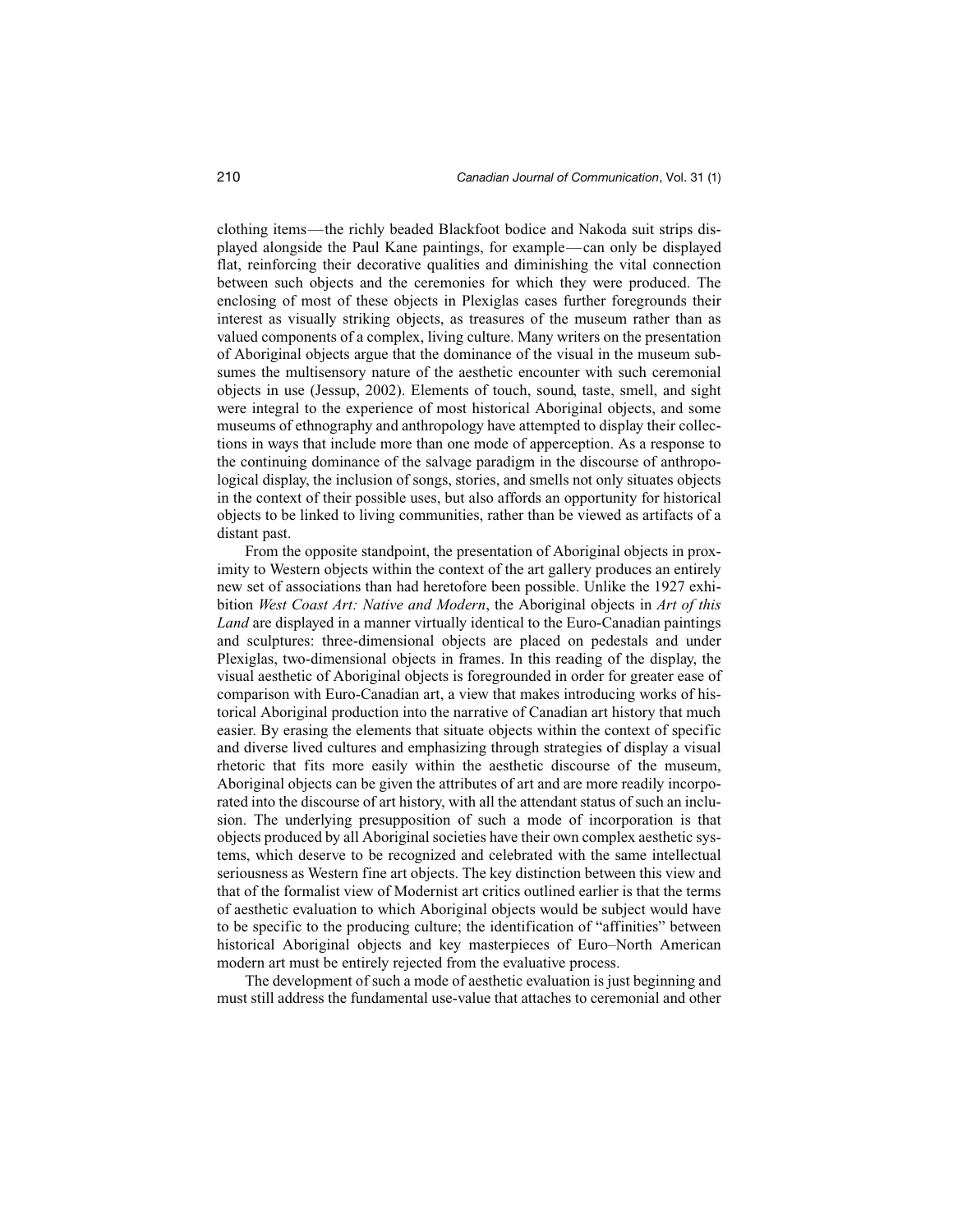clothing items—the richly beaded Blackfoot bodice and Nakoda suit strips displayed alongside the Paul Kane paintings, for example—can only be displayed flat, reinforcing their decorative qualities and diminishing the vital connection between such objects and the ceremonies for which they were produced. The enclosing of most of these objects in Plexiglas cases further foregrounds their interest as visually striking objects, as treasures of the museum rather than as valued components of a complex, living culture. Many writers on the presentation of Aboriginal objects argue that the dominance of the visual in the museum subsumes the multisensory nature of the aesthetic encounter with such ceremonial objects in use (Jessup, 2002). Elements of touch, sound, taste, smell, and sight were integral to the experience of most historical Aboriginal objects, and some museums of ethnography and anthropology have attempted to display their collections in ways that include more than one mode of apperception. As a response to the continuing dominance of the salvage paradigm in the discourse of anthropological display, the inclusion of songs, stories, and smells not only situates objects in the context of their possible uses, but also affords an opportunity for historical objects to be linked to living communities, rather than be viewed as artifacts of a distant past.

From the opposite standpoint, the presentation of Aboriginal objects in proximity to Western objects within the context of the art gallery produces an entirely new set of associations than had heretofore been possible. Unlike the 1927 exhibition *West Coast Art: Native and Modern*, the Aboriginal objects in *Art of this Land* are displayed in a manner virtually identical to the Euro-Canadian paintings and sculptures: three-dimensional objects are placed on pedestals and under Plexiglas, two-dimensional objects in frames. In this reading of the display, the visual aesthetic of Aboriginal objects is foregrounded in order for greater ease of comparison with Euro-Canadian art, a view that makes introducing works of historical Aboriginal production into the narrative of Canadian art history that much easier. By erasing the elements that situate objects within the context of specific and diverse lived cultures and emphasizing through strategies of display a visual rhetoric that fits more easily within the aesthetic discourse of the museum, Aboriginal objects can be given the attributes of art and are more readily incorporated into the discourse of art history, with all the attendant status of such an inclusion. The underlying presupposition of such a mode of incorporation is that objects produced by all Aboriginal societies have their own complex aesthetic systems, which deserve to be recognized and celebrated with the same intellectual seriousness as Western fine art objects. The key distinction between this view and that of the formalist view of Modernist art critics outlined earlier is that the terms of aesthetic evaluation to which Aboriginal objects would be subject would have to be specific to the producing culture; the identification of "affinities" between historical Aboriginal objects and key masterpieces of Euro–North American modern art must be entirely rejected from the evaluative process.

The development of such a mode of aesthetic evaluation is just beginning and must still address the fundamental use-value that attaches to ceremonial and other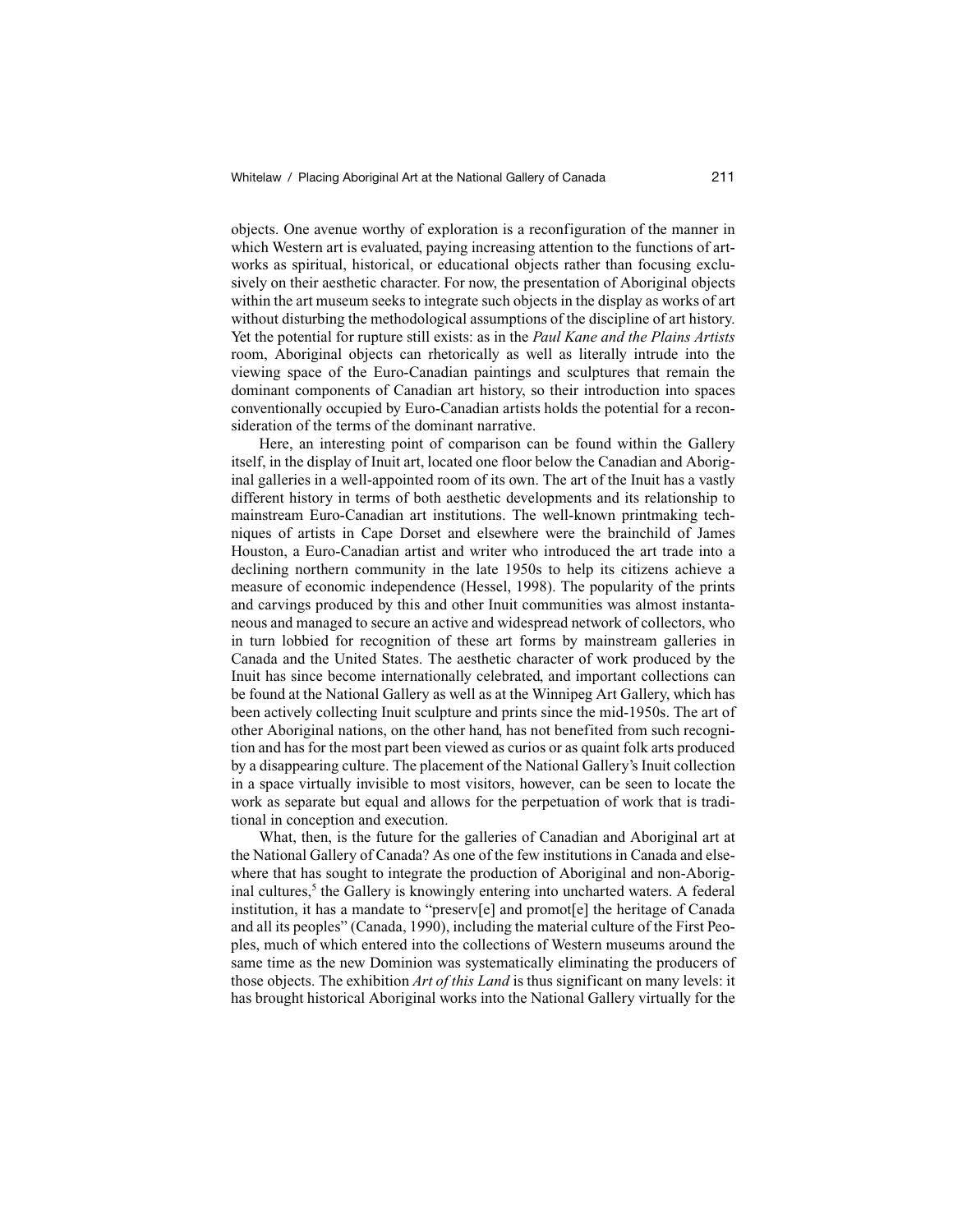objects. One avenue worthy of exploration is a reconfiguration of the manner in which Western art is evaluated, paying increasing attention to the functions of artworks as spiritual, historical, or educational objects rather than focusing exclusively on their aesthetic character. For now, the presentation of Aboriginal objects within the art museum seeks to integrate such objects in the display as works of art without disturbing the methodological assumptions of the discipline of art history. Yet the potential for rupture still exists: as in the *Paul Kane and the Plains Artists* room, Aboriginal objects can rhetorically as well as literally intrude into the viewing space of the Euro-Canadian paintings and sculptures that remain the dominant components of Canadian art history, so their introduction into spaces conventionally occupied by Euro-Canadian artists holds the potential for a reconsideration of the terms of the dominant narrative.

Here, an interesting point of comparison can be found within the Gallery itself, in the display of Inuit art, located one floor below the Canadian and Aboriginal galleries in a well-appointed room of its own. The art of the Inuit has a vastly different history in terms of both aesthetic developments and its relationship to mainstream Euro-Canadian art institutions. The well-known printmaking techniques of artists in Cape Dorset and elsewhere were the brainchild of James Houston, a Euro-Canadian artist and writer who introduced the art trade into a declining northern community in the late 1950s to help its citizens achieve a measure of economic independence (Hessel, 1998). The popularity of the prints and carvings produced by this and other Inuit communities was almost instantaneous and managed to secure an active and widespread network of collectors, who in turn lobbied for recognition of these art forms by mainstream galleries in Canada and the United States. The aesthetic character of work produced by the Inuit has since become internationally celebrated, and important collections can be found at the National Gallery as well as at the Winnipeg Art Gallery, which has been actively collecting Inuit sculpture and prints since the mid-1950s. The art of other Aboriginal nations, on the other hand, has not benefited from such recognition and has for the most part been viewed as curios or as quaint folk arts produced by a disappearing culture. The placement of the National Gallery's Inuit collection in a space virtually invisible to most visitors, however, can be seen to locate the work as separate but equal and allows for the perpetuation of work that is traditional in conception and execution.

What, then, is the future for the galleries of Canadian and Aboriginal art at the National Gallery of Canada? As one of the few institutions in Canada and elsewhere that has sought to integrate the production of Aboriginal and non-Aboriginal cultures,<sup>5</sup> the Gallery is knowingly entering into uncharted waters. A federal institution, it has a mandate to "preserv[e] and promot[e] the heritage of Canada and all its peoples" (Canada, 1990), including the material culture of the First Peoples, much of which entered into the collections of Western museums around the same time as the new Dominion was systematically eliminating the producers of those objects. The exhibition *Art of this Land* is thus significant on many levels: it has brought historical Aboriginal works into the National Gallery virtually for the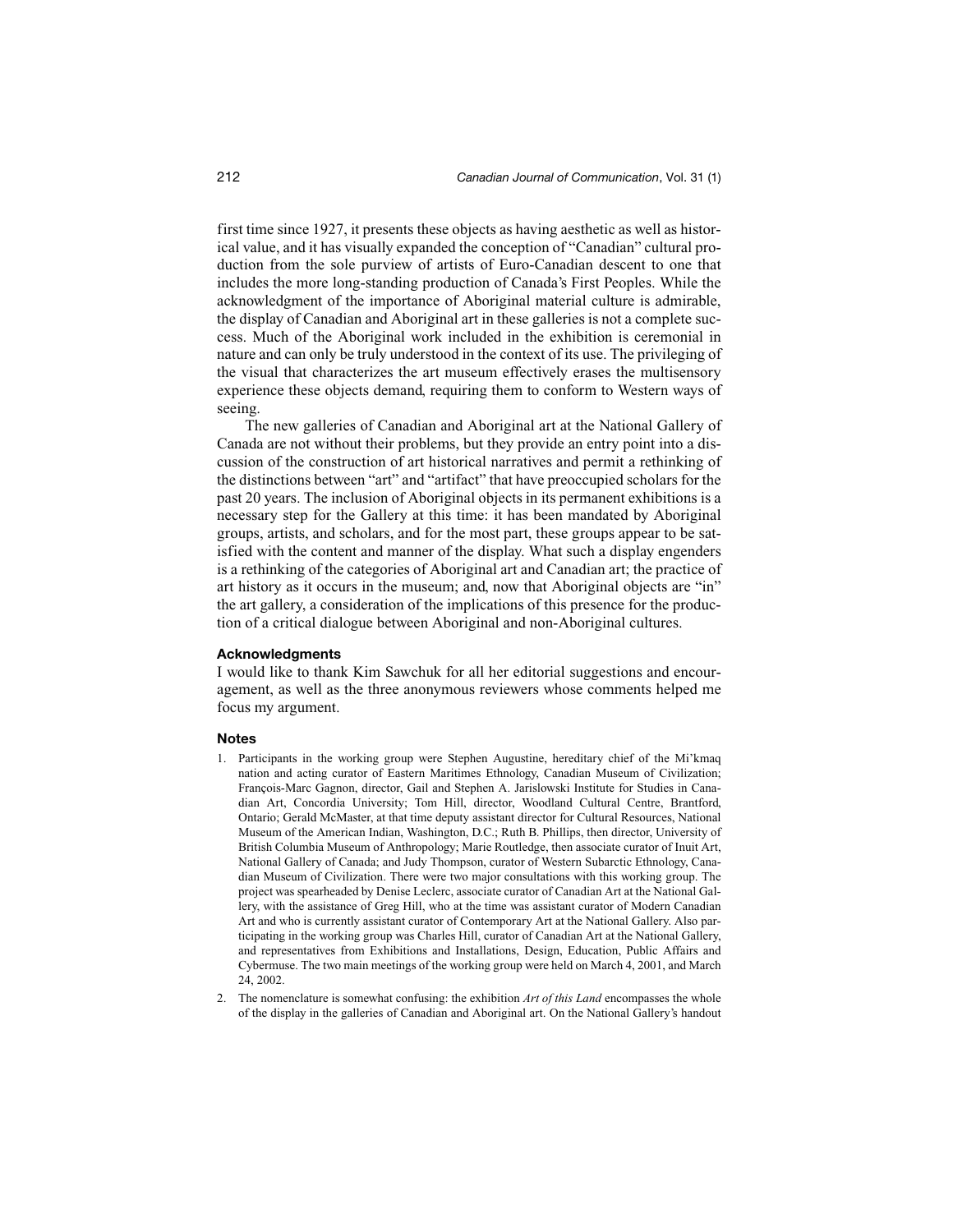first time since 1927, it presents these objects as having aesthetic as well as historical value, and it has visually expanded the conception of "Canadian" cultural production from the sole purview of artists of Euro-Canadian descent to one that includes the more long-standing production of Canada's First Peoples. While the acknowledgment of the importance of Aboriginal material culture is admirable, the display of Canadian and Aboriginal art in these galleries is not a complete success. Much of the Aboriginal work included in the exhibition is ceremonial in nature and can only be truly understood in the context of its use. The privileging of the visual that characterizes the art museum effectively erases the multisensory experience these objects demand, requiring them to conform to Western ways of seeing.

The new galleries of Canadian and Aboriginal art at the National Gallery of Canada are not without their problems, but they provide an entry point into a discussion of the construction of art historical narratives and permit a rethinking of the distinctions between "art" and "artifact" that have preoccupied scholars for the past 20 years. The inclusion of Aboriginal objects in its permanent exhibitions is a necessary step for the Gallery at this time: it has been mandated by Aboriginal groups, artists, and scholars, and for the most part, these groups appear to be satisfied with the content and manner of the display. What such a display engenders is a rethinking of the categories of Aboriginal art and Canadian art; the practice of art history as it occurs in the museum; and, now that Aboriginal objects are "in" the art gallery, a consideration of the implications of this presence for the production of a critical dialogue between Aboriginal and non-Aboriginal cultures.

### **Acknowledgments**

I would like to thank Kim Sawchuk for all her editorial suggestions and encouragement, as well as the three anonymous reviewers whose comments helped me focus my argument.

#### **Notes**

- 1. Participants in the working group were Stephen Augustine, hereditary chief of the Mi'kmaq nation and acting curator of Eastern Maritimes Ethnology, Canadian Museum of Civilization; François-Marc Gagnon, director, Gail and Stephen A. Jarislowski Institute for Studies in Canadian Art, Concordia University; Tom Hill, director, Woodland Cultural Centre, Brantford, Ontario; Gerald McMaster, at that time deputy assistant director for Cultural Resources, National Museum of the American Indian, Washington, D.C.; Ruth B. Phillips, then director, University of British Columbia Museum of Anthropology; Marie Routledge, then associate curator of Inuit Art, National Gallery of Canada; and Judy Thompson, curator of Western Subarctic Ethnology, Canadian Museum of Civilization. There were two major consultations with this working group. The project was spearheaded by Denise Leclerc, associate curator of Canadian Art at the National Gallery, with the assistance of Greg Hill, who at the time was assistant curator of Modern Canadian Art and who is currently assistant curator of Contemporary Art at the National Gallery. Also participating in the working group was Charles Hill, curator of Canadian Art at the National Gallery, and representatives from Exhibitions and Installations, Design, Education, Public Affairs and Cybermuse. The two main meetings of the working group were held on March 4, 2001, and March 24, 2002.
- 2. The nomenclature is somewhat confusing: the exhibition *Art of this Land* encompasses the whole of the display in the galleries of Canadian and Aboriginal art. On the National Gallery's handout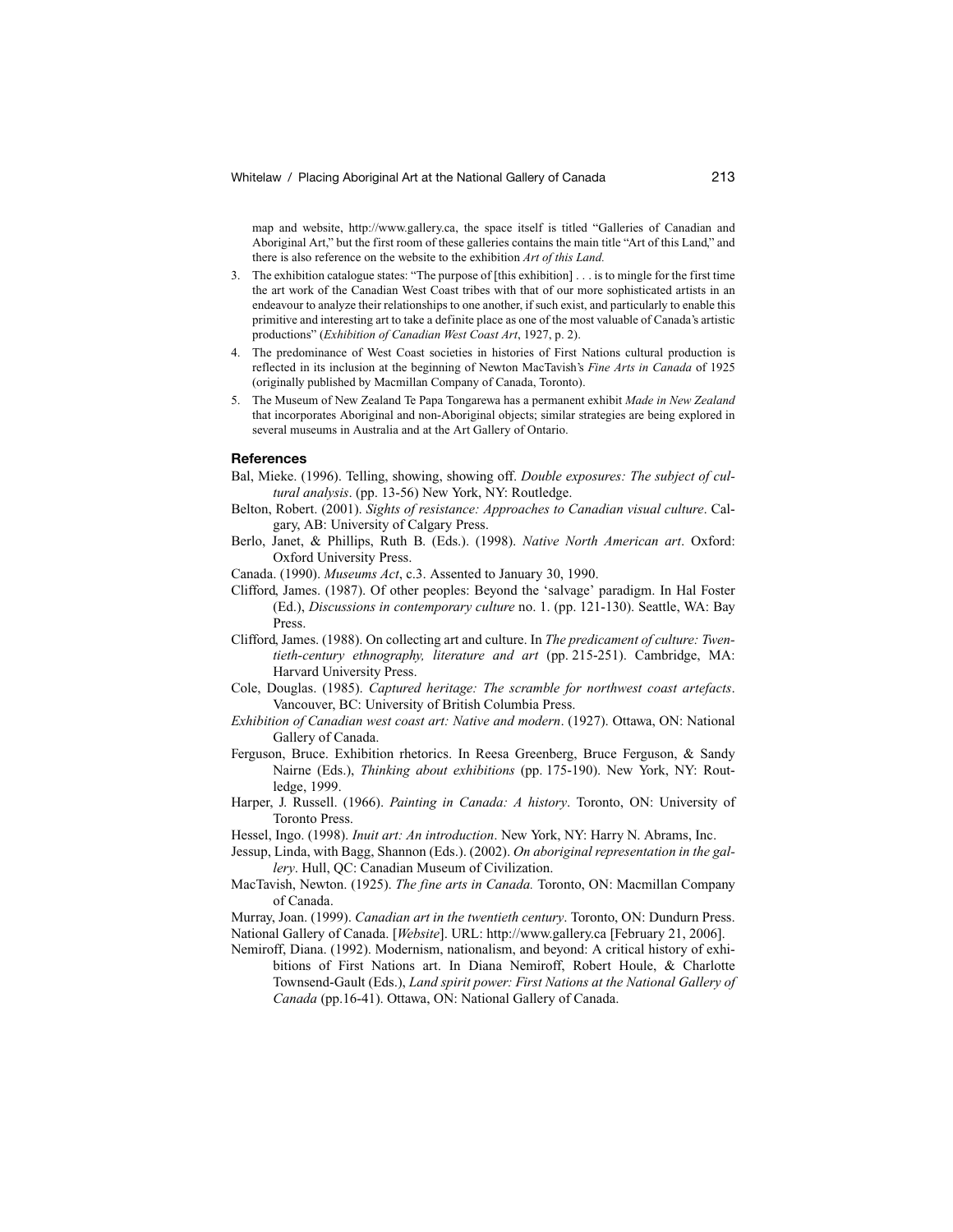map and website, http://www.gallery.ca, the space itself is titled "Galleries of Canadian and Aboriginal Art," but the first room of these galleries contains the main title "Art of this Land," and there is also reference on the website to the exhibition *Art of this Land.*

- 3. The exhibition catalogue states: "The purpose of [this exhibition] . . . is to mingle for the first time the art work of the Canadian West Coast tribes with that of our more sophisticated artists in an endeavour to analyze their relationships to one another, if such exist, and particularly to enable this primitive and interesting art to take a definite place as one of the most valuable of Canada's artistic productions" (*Exhibition of Canadian West Coast Art*, 1927, p. 2).
- 4. The predominance of West Coast societies in histories of First Nations cultural production is reflected in its inclusion at the beginning of Newton MacTavish's *Fine Arts in Canada* of 1925 (originally published by Macmillan Company of Canada, Toronto).
- 5. The Museum of New Zealand Te Papa Tongarewa has a permanent exhibit *Made in New Zealand* that incorporates Aboriginal and non-Aboriginal objects; similar strategies are being explored in several museums in Australia and at the Art Gallery of Ontario.

#### **References**

- Bal, Mieke. (1996). Telling, showing, showing off. *Double exposures: The subject of cultural analysis*. (pp. 13-56) New York, NY: Routledge.
- Belton, Robert. (2001). *Sights of resistance: Approaches to Canadian visual culture*. Calgary, AB: University of Calgary Press.
- Berlo, Janet, & Phillips, Ruth B. (Eds.). (1998). *Native North American art*. Oxford: Oxford University Press.
- Canada. (1990). *Museums Act*, c.3. Assented to January 30, 1990.
- Clifford, James. (1987). Of other peoples: Beyond the 'salvage' paradigm. In Hal Foster (Ed.), *Discussions in contemporary culture* no. 1. (pp. 121-130). Seattle, WA: Bay Press.
- Clifford, James. (1988). On collecting art and culture. In *The predicament of culture: Twentieth-century ethnography, literature and art* (pp. 215-251). Cambridge, MA: Harvard University Press.
- Cole, Douglas. (1985). *Captured heritage: The scramble for northwest coast artefacts*. Vancouver, BC: University of British Columbia Press.
- *Exhibition of Canadian west coast art: Native and modern*. (1927). Ottawa, ON: National Gallery of Canada.
- Ferguson, Bruce. Exhibition rhetorics. In Reesa Greenberg, Bruce Ferguson, & Sandy Nairne (Eds.), *Thinking about exhibitions* (pp. 175-190). New York, NY: Routledge, 1999.
- Harper, J. Russell. (1966). *Painting in Canada: A history*. Toronto, ON: University of Toronto Press.
- Hessel, Ingo. (1998). *Inuit art: An introduction*. New York, NY: Harry N. Abrams, Inc.
- Jessup, Linda, with Bagg, Shannon (Eds.). (2002). *On aboriginal representation in the gallery*. Hull, QC: Canadian Museum of Civilization.
- MacTavish, Newton. (1925). *The fine arts in Canada.* Toronto, ON: Macmillan Company of Canada.

Murray, Joan. (1999). *Canadian art in the twentieth century*. Toronto, ON: Dundurn Press. National Gallery of Canada. [*Website*]. URL: http://www.gallery.ca [February 21, 2006].

Nemiroff, Diana. (1992). Modernism, nationalism, and beyond: A critical history of exhi-

bitions of First Nations art. In Diana Nemiroff, Robert Houle, & Charlotte Townsend-Gault (Eds.), *Land spirit power: First Nations at the National Gallery of Canada* (pp.16-41). Ottawa, ON: National Gallery of Canada.